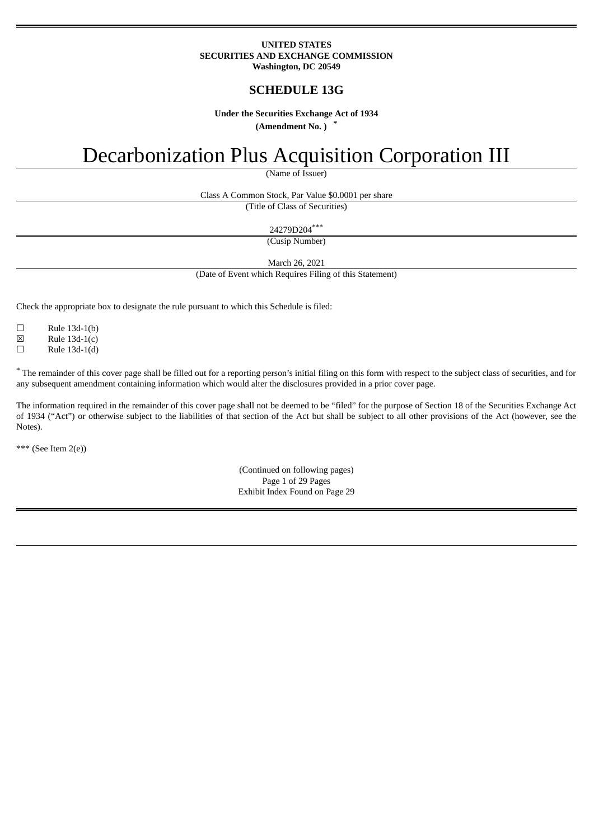#### **UNITED STATES SECURITIES AND EXCHANGE COMMISSION Washington, DC 20549**

# **SCHEDULE 13G**

**Under the Securities Exchange Act of 1934**

**(Amendment No. ) \***

# Decarbonization Plus Acquisition Corporation III

(Name of Issuer)

Class A Common Stock, Par Value \$0.0001 per share (Title of Class of Securities)

24279D204 \*\*\* (Cusip Number)

March 26, 2021

(Date of Event which Requires Filing of this Statement)

Check the appropriate box to designate the rule pursuant to which this Schedule is filed:

 $\Box$  Rule 13d-1(b)

 $\boxtimes$  Rule 13d-1(c)

 $\Box$  Rule 13d-1(d)

\* The remainder of this cover page shall be filled out for a reporting person's initial filing on this form with respect to the subject class of securities, and for any subsequent amendment containing information which would alter the disclosures provided in a prior cover page.

The information required in the remainder of this cover page shall not be deemed to be "filed" for the purpose of Section 18 of the Securities Exchange Act of 1934 ("Act") or otherwise subject to the liabilities of that section of the Act but shall be subject to all other provisions of the Act (however, see the Notes).

\*\*\* (See Item 2(e))

(Continued on following pages) Page 1 of 29 Pages Exhibit Index Found on Page 29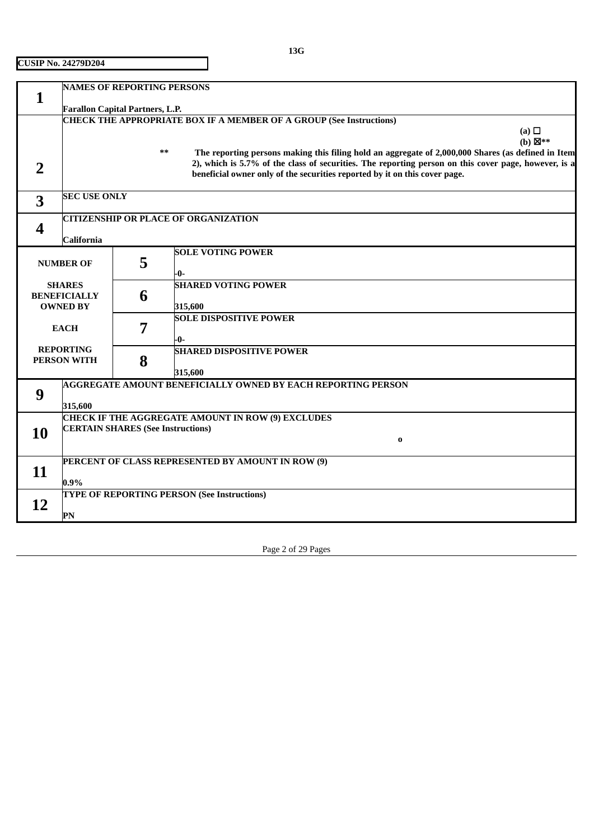|                |                                        | <b>NAMES OF REPORTING PERSONS</b>        |                                                                                                      |                    |
|----------------|----------------------------------------|------------------------------------------|------------------------------------------------------------------------------------------------------|--------------------|
|                |                                        |                                          |                                                                                                      |                    |
|                | <b>Farallon Capital Partners, L.P.</b> |                                          |                                                                                                      |                    |
|                |                                        |                                          | <b>CHECK THE APPROPRIATE BOX IF A MEMBER OF A GROUP (See Instructions)</b>                           |                    |
|                |                                        |                                          |                                                                                                      | (a) $\Box$         |
|                |                                        |                                          |                                                                                                      | (b) $\boxtimes$ ** |
|                |                                        | **                                       | The reporting persons making this filing hold an aggregate of 2,000,000 Shares (as defined in Item   |                    |
| $\overline{2}$ |                                        |                                          | 2), which is 5.7% of the class of securities. The reporting person on this cover page, however, is a |                    |
|                |                                        |                                          | beneficial owner only of the securities reported by it on this cover page.                           |                    |
|                |                                        |                                          |                                                                                                      |                    |
| 3              | <b>SEC USE ONLY</b>                    |                                          |                                                                                                      |                    |
|                |                                        |                                          |                                                                                                      |                    |
|                |                                        |                                          | <b>CITIZENSHIP OR PLACE OF ORGANIZATION</b>                                                          |                    |
| 4              | <b>California</b>                      |                                          |                                                                                                      |                    |
|                |                                        |                                          | <b>SOLE VOTING POWER</b>                                                                             |                    |
|                |                                        | 5                                        |                                                                                                      |                    |
|                | <b>NUMBER OF</b>                       |                                          | -0-                                                                                                  |                    |
|                | <b>SHARES</b>                          |                                          | <b>SHARED VOTING POWER</b>                                                                           |                    |
|                | <b>BENEFICIALLY</b>                    | 6                                        |                                                                                                      |                    |
|                | <b>OWNED BY</b>                        |                                          | 315,600                                                                                              |                    |
|                |                                        |                                          | <b>SOLE DISPOSITIVE POWER</b>                                                                        |                    |
|                | <b>EACH</b>                            | 7                                        |                                                                                                      |                    |
|                |                                        |                                          | -0-                                                                                                  |                    |
|                | <b>REPORTING</b>                       |                                          | <b>SHARED DISPOSITIVE POWER</b>                                                                      |                    |
|                | <b>PERSON WITH</b>                     | 8                                        |                                                                                                      |                    |
|                |                                        |                                          | 315,600                                                                                              |                    |
|                |                                        |                                          | <b>AGGREGATE AMOUNT BENEFICIALLY OWNED BY EACH REPORTING PERSON</b>                                  |                    |
| 9              |                                        |                                          |                                                                                                      |                    |
|                | 315,600                                |                                          |                                                                                                      |                    |
|                |                                        |                                          | <b>CHECK IF THE AGGREGATE AMOUNT IN ROW (9) EXCLUDES</b>                                             |                    |
| 10             |                                        | <b>CERTAIN SHARES (See Instructions)</b> |                                                                                                      |                    |
|                |                                        |                                          | $\bf{0}$                                                                                             |                    |
|                |                                        |                                          | PERCENT OF CLASS REPRESENTED BY AMOUNT IN ROW (9)                                                    |                    |
| 11             |                                        |                                          |                                                                                                      |                    |
|                | $0.9\%$                                |                                          |                                                                                                      |                    |
|                |                                        |                                          | <b>TYPE OF REPORTING PERSON (See Instructions)</b>                                                   |                    |
| 12             |                                        |                                          |                                                                                                      |                    |
|                | PN                                     |                                          |                                                                                                      |                    |

Page 2 of 29 Pages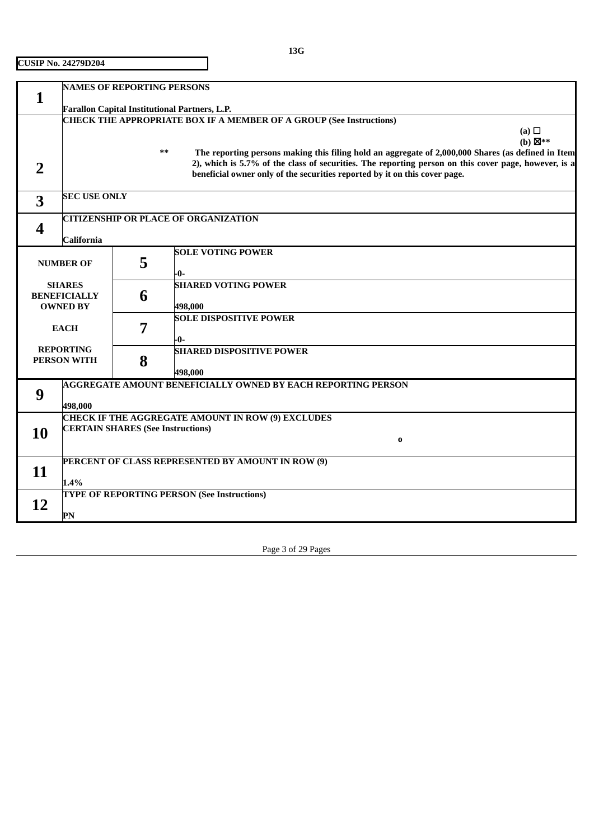| Farallon Capital Institutional Partners, L.P.<br><b>CHECK THE APPROPRIATE BOX IF A MEMBER OF A GROUP (See Instructions)</b><br>(a) $\Box$<br>(b) $\boxtimes$ **<br>The reporting persons making this filing hold an aggregate of 2,000,000 Shares (as defined in Item<br>**<br>2), which is 5.7% of the class of securities. The reporting person on this cover page, however, is a<br>$\overline{2}$<br>beneficial owner only of the securities reported by it on this cover page.<br><b>SEC USE ONLY</b><br>3<br><b>CITIZENSHIP OR PLACE OF ORGANIZATION</b><br>4<br>California<br><b>SOLE VOTING POWER</b><br>5<br><b>NUMBER OF</b><br>-0-<br><b>SHARED VOTING POWER</b><br><b>SHARES</b><br>6<br><b>BENEFICIALLY</b><br><b>OWNED BY</b><br>498,000<br><b>SOLE DISPOSITIVE POWER</b><br>7<br><b>EACH</b><br>-0-<br><b>REPORTING</b><br><b>SHARED DISPOSITIVE POWER</b><br>8<br><b>PERSON WITH</b><br>498,000<br><b>AGGREGATE AMOUNT BENEFICIALLY OWNED BY EACH REPORTING PERSON</b><br>9<br>498,000<br>CHECK IF THE AGGREGATE AMOUNT IN ROW (9) EXCLUDES<br><b>CERTAIN SHARES (See Instructions)</b><br>10<br>$\bf{0}$<br>PERCENT OF CLASS REPRESENTED BY AMOUNT IN ROW (9)<br>11<br>1.4% | <b>TYPE OF REPORTING PERSON (See Instructions)</b><br><b>12</b> | <b>NAMES OF REPORTING PERSONS</b> |  |  |  |  |  |
|----------------------------------------------------------------------------------------------------------------------------------------------------------------------------------------------------------------------------------------------------------------------------------------------------------------------------------------------------------------------------------------------------------------------------------------------------------------------------------------------------------------------------------------------------------------------------------------------------------------------------------------------------------------------------------------------------------------------------------------------------------------------------------------------------------------------------------------------------------------------------------------------------------------------------------------------------------------------------------------------------------------------------------------------------------------------------------------------------------------------------------------------------------------------------------------------|-----------------------------------------------------------------|-----------------------------------|--|--|--|--|--|
|                                                                                                                                                                                                                                                                                                                                                                                                                                                                                                                                                                                                                                                                                                                                                                                                                                                                                                                                                                                                                                                                                                                                                                                              |                                                                 |                                   |  |  |  |  |  |
|                                                                                                                                                                                                                                                                                                                                                                                                                                                                                                                                                                                                                                                                                                                                                                                                                                                                                                                                                                                                                                                                                                                                                                                              |                                                                 |                                   |  |  |  |  |  |
|                                                                                                                                                                                                                                                                                                                                                                                                                                                                                                                                                                                                                                                                                                                                                                                                                                                                                                                                                                                                                                                                                                                                                                                              |                                                                 |                                   |  |  |  |  |  |
|                                                                                                                                                                                                                                                                                                                                                                                                                                                                                                                                                                                                                                                                                                                                                                                                                                                                                                                                                                                                                                                                                                                                                                                              |                                                                 |                                   |  |  |  |  |  |
|                                                                                                                                                                                                                                                                                                                                                                                                                                                                                                                                                                                                                                                                                                                                                                                                                                                                                                                                                                                                                                                                                                                                                                                              |                                                                 |                                   |  |  |  |  |  |
|                                                                                                                                                                                                                                                                                                                                                                                                                                                                                                                                                                                                                                                                                                                                                                                                                                                                                                                                                                                                                                                                                                                                                                                              |                                                                 |                                   |  |  |  |  |  |
|                                                                                                                                                                                                                                                                                                                                                                                                                                                                                                                                                                                                                                                                                                                                                                                                                                                                                                                                                                                                                                                                                                                                                                                              |                                                                 |                                   |  |  |  |  |  |
|                                                                                                                                                                                                                                                                                                                                                                                                                                                                                                                                                                                                                                                                                                                                                                                                                                                                                                                                                                                                                                                                                                                                                                                              |                                                                 |                                   |  |  |  |  |  |
|                                                                                                                                                                                                                                                                                                                                                                                                                                                                                                                                                                                                                                                                                                                                                                                                                                                                                                                                                                                                                                                                                                                                                                                              |                                                                 |                                   |  |  |  |  |  |
|                                                                                                                                                                                                                                                                                                                                                                                                                                                                                                                                                                                                                                                                                                                                                                                                                                                                                                                                                                                                                                                                                                                                                                                              |                                                                 |                                   |  |  |  |  |  |
|                                                                                                                                                                                                                                                                                                                                                                                                                                                                                                                                                                                                                                                                                                                                                                                                                                                                                                                                                                                                                                                                                                                                                                                              |                                                                 |                                   |  |  |  |  |  |
|                                                                                                                                                                                                                                                                                                                                                                                                                                                                                                                                                                                                                                                                                                                                                                                                                                                                                                                                                                                                                                                                                                                                                                                              |                                                                 |                                   |  |  |  |  |  |
|                                                                                                                                                                                                                                                                                                                                                                                                                                                                                                                                                                                                                                                                                                                                                                                                                                                                                                                                                                                                                                                                                                                                                                                              |                                                                 |                                   |  |  |  |  |  |
|                                                                                                                                                                                                                                                                                                                                                                                                                                                                                                                                                                                                                                                                                                                                                                                                                                                                                                                                                                                                                                                                                                                                                                                              |                                                                 |                                   |  |  |  |  |  |
|                                                                                                                                                                                                                                                                                                                                                                                                                                                                                                                                                                                                                                                                                                                                                                                                                                                                                                                                                                                                                                                                                                                                                                                              |                                                                 |                                   |  |  |  |  |  |
|                                                                                                                                                                                                                                                                                                                                                                                                                                                                                                                                                                                                                                                                                                                                                                                                                                                                                                                                                                                                                                                                                                                                                                                              |                                                                 |                                   |  |  |  |  |  |
|                                                                                                                                                                                                                                                                                                                                                                                                                                                                                                                                                                                                                                                                                                                                                                                                                                                                                                                                                                                                                                                                                                                                                                                              |                                                                 |                                   |  |  |  |  |  |
|                                                                                                                                                                                                                                                                                                                                                                                                                                                                                                                                                                                                                                                                                                                                                                                                                                                                                                                                                                                                                                                                                                                                                                                              |                                                                 |                                   |  |  |  |  |  |
|                                                                                                                                                                                                                                                                                                                                                                                                                                                                                                                                                                                                                                                                                                                                                                                                                                                                                                                                                                                                                                                                                                                                                                                              |                                                                 |                                   |  |  |  |  |  |
|                                                                                                                                                                                                                                                                                                                                                                                                                                                                                                                                                                                                                                                                                                                                                                                                                                                                                                                                                                                                                                                                                                                                                                                              |                                                                 |                                   |  |  |  |  |  |
|                                                                                                                                                                                                                                                                                                                                                                                                                                                                                                                                                                                                                                                                                                                                                                                                                                                                                                                                                                                                                                                                                                                                                                                              |                                                                 |                                   |  |  |  |  |  |
|                                                                                                                                                                                                                                                                                                                                                                                                                                                                                                                                                                                                                                                                                                                                                                                                                                                                                                                                                                                                                                                                                                                                                                                              |                                                                 |                                   |  |  |  |  |  |
|                                                                                                                                                                                                                                                                                                                                                                                                                                                                                                                                                                                                                                                                                                                                                                                                                                                                                                                                                                                                                                                                                                                                                                                              |                                                                 |                                   |  |  |  |  |  |
|                                                                                                                                                                                                                                                                                                                                                                                                                                                                                                                                                                                                                                                                                                                                                                                                                                                                                                                                                                                                                                                                                                                                                                                              |                                                                 |                                   |  |  |  |  |  |
|                                                                                                                                                                                                                                                                                                                                                                                                                                                                                                                                                                                                                                                                                                                                                                                                                                                                                                                                                                                                                                                                                                                                                                                              |                                                                 |                                   |  |  |  |  |  |
|                                                                                                                                                                                                                                                                                                                                                                                                                                                                                                                                                                                                                                                                                                                                                                                                                                                                                                                                                                                                                                                                                                                                                                                              |                                                                 |                                   |  |  |  |  |  |
|                                                                                                                                                                                                                                                                                                                                                                                                                                                                                                                                                                                                                                                                                                                                                                                                                                                                                                                                                                                                                                                                                                                                                                                              |                                                                 |                                   |  |  |  |  |  |
|                                                                                                                                                                                                                                                                                                                                                                                                                                                                                                                                                                                                                                                                                                                                                                                                                                                                                                                                                                                                                                                                                                                                                                                              |                                                                 |                                   |  |  |  |  |  |
|                                                                                                                                                                                                                                                                                                                                                                                                                                                                                                                                                                                                                                                                                                                                                                                                                                                                                                                                                                                                                                                                                                                                                                                              |                                                                 |                                   |  |  |  |  |  |
|                                                                                                                                                                                                                                                                                                                                                                                                                                                                                                                                                                                                                                                                                                                                                                                                                                                                                                                                                                                                                                                                                                                                                                                              |                                                                 |                                   |  |  |  |  |  |
|                                                                                                                                                                                                                                                                                                                                                                                                                                                                                                                                                                                                                                                                                                                                                                                                                                                                                                                                                                                                                                                                                                                                                                                              |                                                                 | PN                                |  |  |  |  |  |

Page 3 of 29 Pages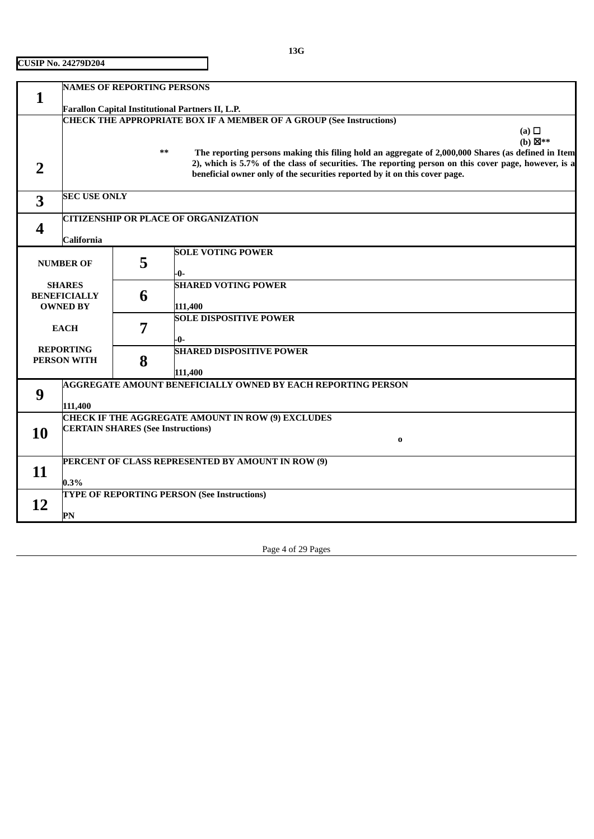|                  |                                                                            | <b>NAMES OF REPORTING PERSONS</b>        |                                                                                                          |                    |  |  |
|------------------|----------------------------------------------------------------------------|------------------------------------------|----------------------------------------------------------------------------------------------------------|--------------------|--|--|
|                  |                                                                            |                                          |                                                                                                          |                    |  |  |
|                  |                                                                            |                                          | Farallon Capital Institutional Partners II, L.P.                                                         |                    |  |  |
|                  | <b>CHECK THE APPROPRIATE BOX IF A MEMBER OF A GROUP (See Instructions)</b> |                                          |                                                                                                          |                    |  |  |
|                  |                                                                            |                                          |                                                                                                          | (a) $\Box$         |  |  |
|                  |                                                                            |                                          |                                                                                                          | (b) $\boxtimes$ ** |  |  |
|                  |                                                                            |                                          | The reporting persons making this filing hold an aggregate of 2,000,000 Shares (as defined in Item<br>** |                    |  |  |
| $\overline{2}$   |                                                                            |                                          | 2), which is 5.7% of the class of securities. The reporting person on this cover page, however, is a     |                    |  |  |
|                  |                                                                            |                                          | beneficial owner only of the securities reported by it on this cover page.                               |                    |  |  |
|                  |                                                                            |                                          |                                                                                                          |                    |  |  |
| 3                | <b>SEC USE ONLY</b>                                                        |                                          |                                                                                                          |                    |  |  |
|                  |                                                                            |                                          | <b>CITIZENSHIP OR PLACE OF ORGANIZATION</b>                                                              |                    |  |  |
| $\boldsymbol{4}$ |                                                                            |                                          |                                                                                                          |                    |  |  |
|                  | California                                                                 |                                          |                                                                                                          |                    |  |  |
|                  |                                                                            |                                          | <b>SOLE VOTING POWER</b>                                                                                 |                    |  |  |
|                  | <b>NUMBER OF</b>                                                           | 5                                        |                                                                                                          |                    |  |  |
|                  |                                                                            |                                          | $-0-$                                                                                                    |                    |  |  |
|                  | <b>SHARES</b>                                                              |                                          | <b>SHARED VOTING POWER</b>                                                                               |                    |  |  |
|                  | <b>BENEFICIALLY</b>                                                        | 6                                        |                                                                                                          |                    |  |  |
|                  | <b>OWNED BY</b>                                                            |                                          | 111,400                                                                                                  |                    |  |  |
|                  |                                                                            |                                          | <b>SOLE DISPOSITIVE POWER</b>                                                                            |                    |  |  |
|                  | <b>EACH</b>                                                                | 7                                        |                                                                                                          |                    |  |  |
|                  |                                                                            |                                          | -0-                                                                                                      |                    |  |  |
|                  | <b>REPORTING</b>                                                           |                                          | <b>SHARED DISPOSITIVE POWER</b>                                                                          |                    |  |  |
|                  | <b>PERSON WITH</b>                                                         | 8                                        |                                                                                                          |                    |  |  |
|                  |                                                                            |                                          | 111,400                                                                                                  |                    |  |  |
|                  |                                                                            |                                          | AGGREGATE AMOUNT BENEFICIALLY OWNED BY EACH REPORTING PERSON                                             |                    |  |  |
| 9                |                                                                            |                                          |                                                                                                          |                    |  |  |
|                  | 111,400                                                                    |                                          |                                                                                                          |                    |  |  |
|                  |                                                                            |                                          | <b>CHECK IF THE AGGREGATE AMOUNT IN ROW (9) EXCLUDES</b>                                                 |                    |  |  |
| 10               |                                                                            | <b>CERTAIN SHARES (See Instructions)</b> |                                                                                                          |                    |  |  |
|                  |                                                                            |                                          | $\bf{0}$                                                                                                 |                    |  |  |
|                  | PERCENT OF CLASS REPRESENTED BY AMOUNT IN ROW (9)                          |                                          |                                                                                                          |                    |  |  |
| 11               |                                                                            |                                          |                                                                                                          |                    |  |  |
|                  | 0.3%                                                                       |                                          |                                                                                                          |                    |  |  |
|                  |                                                                            |                                          | <b>TYPE OF REPORTING PERSON (See Instructions)</b>                                                       |                    |  |  |
| <b>12</b>        |                                                                            |                                          |                                                                                                          |                    |  |  |
|                  | PN                                                                         |                                          |                                                                                                          |                    |  |  |

Page 4 of 29 Pages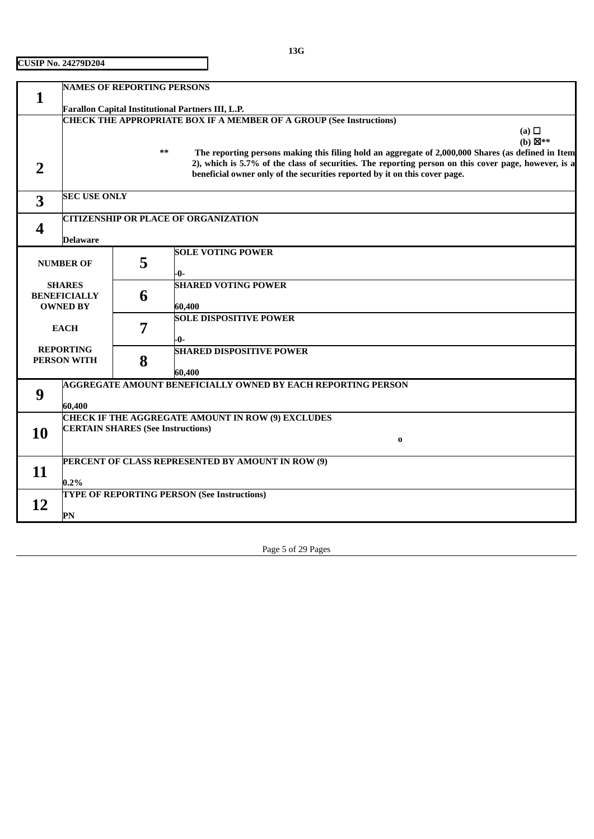|                | <b>NAMES OF REPORTING PERSONS</b>                 |                                                                                                                                 |                                                                                                                                                                                    |                    |  |  |  |
|----------------|---------------------------------------------------|---------------------------------------------------------------------------------------------------------------------------------|------------------------------------------------------------------------------------------------------------------------------------------------------------------------------------|--------------------|--|--|--|
| $\mathbf{1}$   |                                                   |                                                                                                                                 |                                                                                                                                                                                    |                    |  |  |  |
|                |                                                   | Farallon Capital Institutional Partners III, L.P.<br><b>CHECK THE APPROPRIATE BOX IF A MEMBER OF A GROUP (See Instructions)</b> |                                                                                                                                                                                    |                    |  |  |  |
|                |                                                   |                                                                                                                                 |                                                                                                                                                                                    | (a) $\Box$         |  |  |  |
|                |                                                   |                                                                                                                                 |                                                                                                                                                                                    | (b) $\boxtimes$ ** |  |  |  |
|                |                                                   |                                                                                                                                 | The reporting persons making this filing hold an aggregate of 2,000,000 Shares (as defined in Item<br>**                                                                           |                    |  |  |  |
| $\overline{2}$ |                                                   |                                                                                                                                 | 2), which is 5.7% of the class of securities. The reporting person on this cover page, however, is a<br>beneficial owner only of the securities reported by it on this cover page. |                    |  |  |  |
|                |                                                   |                                                                                                                                 |                                                                                                                                                                                    |                    |  |  |  |
| 3              | <b>SEC USE ONLY</b>                               |                                                                                                                                 |                                                                                                                                                                                    |                    |  |  |  |
|                |                                                   |                                                                                                                                 | <b>CITIZENSHIP OR PLACE OF ORGANIZATION</b>                                                                                                                                        |                    |  |  |  |
| 4              |                                                   |                                                                                                                                 |                                                                                                                                                                                    |                    |  |  |  |
|                | <b>Delaware</b>                                   |                                                                                                                                 |                                                                                                                                                                                    |                    |  |  |  |
|                |                                                   |                                                                                                                                 | <b>SOLE VOTING POWER</b>                                                                                                                                                           |                    |  |  |  |
|                | <b>NUMBER OF</b>                                  | 5                                                                                                                               | -0-                                                                                                                                                                                |                    |  |  |  |
|                | <b>SHARES</b>                                     |                                                                                                                                 | <b>SHARED VOTING POWER</b>                                                                                                                                                         |                    |  |  |  |
|                | <b>BENEFICIALLY</b>                               | 6                                                                                                                               |                                                                                                                                                                                    |                    |  |  |  |
|                | <b>OWNED BY</b>                                   |                                                                                                                                 | 60,400                                                                                                                                                                             |                    |  |  |  |
|                |                                                   |                                                                                                                                 | <b>SOLE DISPOSITIVE POWER</b>                                                                                                                                                      |                    |  |  |  |
|                | <b>EACH</b>                                       | 7                                                                                                                               |                                                                                                                                                                                    |                    |  |  |  |
|                | <b>REPORTING</b>                                  |                                                                                                                                 | -0-<br><b>SHARED DISPOSITIVE POWER</b>                                                                                                                                             |                    |  |  |  |
|                | <b>PERSON WITH</b>                                | 8                                                                                                                               |                                                                                                                                                                                    |                    |  |  |  |
|                |                                                   |                                                                                                                                 | 60,400                                                                                                                                                                             |                    |  |  |  |
|                |                                                   |                                                                                                                                 | <b>AGGREGATE AMOUNT BENEFICIALLY OWNED BY EACH REPORTING PERSON</b>                                                                                                                |                    |  |  |  |
| 9              |                                                   |                                                                                                                                 |                                                                                                                                                                                    |                    |  |  |  |
|                | 60,400                                            |                                                                                                                                 |                                                                                                                                                                                    |                    |  |  |  |
|                |                                                   | <b>CERTAIN SHARES (See Instructions)</b>                                                                                        | CHECK IF THE AGGREGATE AMOUNT IN ROW (9) EXCLUDES                                                                                                                                  |                    |  |  |  |
| 10             |                                                   |                                                                                                                                 | $\bf{0}$                                                                                                                                                                           |                    |  |  |  |
|                |                                                   |                                                                                                                                 |                                                                                                                                                                                    |                    |  |  |  |
|                | PERCENT OF CLASS REPRESENTED BY AMOUNT IN ROW (9) |                                                                                                                                 |                                                                                                                                                                                    |                    |  |  |  |
| 11             |                                                   |                                                                                                                                 |                                                                                                                                                                                    |                    |  |  |  |
|                | 0.2%                                              |                                                                                                                                 | <b>TYPE OF REPORTING PERSON (See Instructions)</b>                                                                                                                                 |                    |  |  |  |
| 12             |                                                   |                                                                                                                                 |                                                                                                                                                                                    |                    |  |  |  |
|                | PN                                                |                                                                                                                                 |                                                                                                                                                                                    |                    |  |  |  |

Page 5 of 29 Pages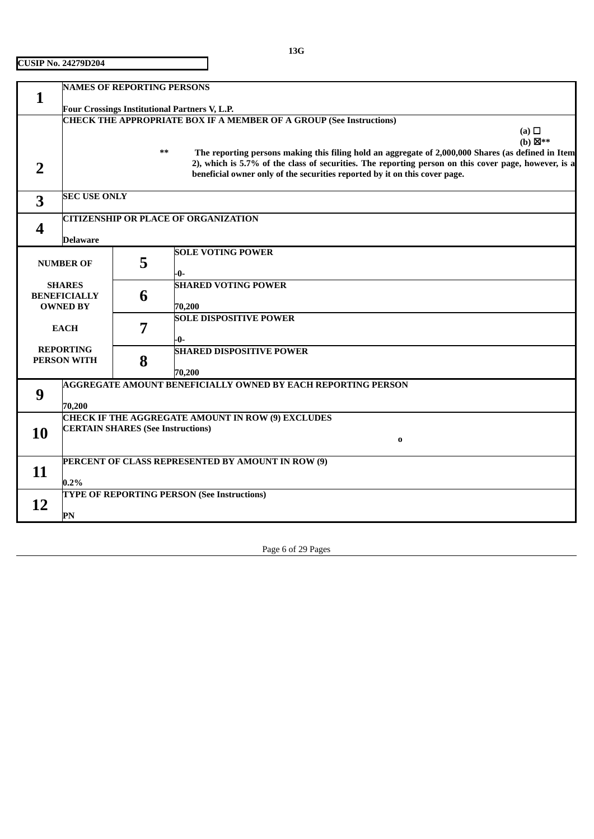|                | <b>NAMES OF REPORTING PERSONS</b> |                                          |                                                                                                                                                                                                                  |                    |
|----------------|-----------------------------------|------------------------------------------|------------------------------------------------------------------------------------------------------------------------------------------------------------------------------------------------------------------|--------------------|
| $\mathbf{1}$   |                                   |                                          | Four Crossings Institutional Partners V, L.P.                                                                                                                                                                    |                    |
|                |                                   |                                          | <b>CHECK THE APPROPRIATE BOX IF A MEMBER OF A GROUP (See Instructions)</b>                                                                                                                                       |                    |
|                |                                   |                                          |                                                                                                                                                                                                                  | (a) $\Box$         |
|                |                                   |                                          |                                                                                                                                                                                                                  | (b) $\boxtimes$ ** |
|                |                                   |                                          | **<br>The reporting persons making this filing hold an aggregate of 2,000,000 Shares (as defined in Item<br>2), which is 5.7% of the class of securities. The reporting person on this cover page, however, is a |                    |
| $\overline{2}$ |                                   |                                          | beneficial owner only of the securities reported by it on this cover page.                                                                                                                                       |                    |
|                |                                   |                                          |                                                                                                                                                                                                                  |                    |
| 3              | <b>SEC USE ONLY</b>               |                                          |                                                                                                                                                                                                                  |                    |
|                |                                   |                                          | <b>CITIZENSHIP OR PLACE OF ORGANIZATION</b>                                                                                                                                                                      |                    |
| 4              |                                   |                                          |                                                                                                                                                                                                                  |                    |
|                | <b>Delaware</b>                   |                                          |                                                                                                                                                                                                                  |                    |
|                |                                   |                                          | <b>SOLE VOTING POWER</b>                                                                                                                                                                                         |                    |
|                | <b>NUMBER OF</b>                  | 5                                        | -0-                                                                                                                                                                                                              |                    |
|                | <b>SHARES</b>                     |                                          | <b>SHARED VOTING POWER</b>                                                                                                                                                                                       |                    |
|                | <b>BENEFICIALLY</b>               | 6                                        |                                                                                                                                                                                                                  |                    |
|                | <b>OWNED BY</b>                   |                                          | 70,200                                                                                                                                                                                                           |                    |
|                | <b>EACH</b>                       | 7                                        | <b>SOLE DISPOSITIVE POWER</b>                                                                                                                                                                                    |                    |
|                |                                   |                                          | -0-                                                                                                                                                                                                              |                    |
|                | <b>REPORTING</b>                  |                                          | <b>SHARED DISPOSITIVE POWER</b>                                                                                                                                                                                  |                    |
|                | <b>PERSON WITH</b>                | 8                                        |                                                                                                                                                                                                                  |                    |
|                |                                   |                                          | 70,200                                                                                                                                                                                                           |                    |
| 9              |                                   |                                          | <b>AGGREGATE AMOUNT BENEFICIALLY OWNED BY EACH REPORTING PERSON</b>                                                                                                                                              |                    |
|                | 70,200                            |                                          |                                                                                                                                                                                                                  |                    |
|                |                                   |                                          | <b>CHECK IF THE AGGREGATE AMOUNT IN ROW (9) EXCLUDES</b>                                                                                                                                                         |                    |
| 10             |                                   | <b>CERTAIN SHARES (See Instructions)</b> |                                                                                                                                                                                                                  |                    |
|                |                                   |                                          | $\bf{0}$                                                                                                                                                                                                         |                    |
|                |                                   |                                          | PERCENT OF CLASS REPRESENTED BY AMOUNT IN ROW (9)                                                                                                                                                                |                    |
| 11             |                                   |                                          |                                                                                                                                                                                                                  |                    |
|                | 0.2%                              |                                          |                                                                                                                                                                                                                  |                    |
| 12             |                                   |                                          | <b>TYPE OF REPORTING PERSON (See Instructions)</b>                                                                                                                                                               |                    |
|                | PN                                |                                          |                                                                                                                                                                                                                  |                    |

Page 6 of 29 Pages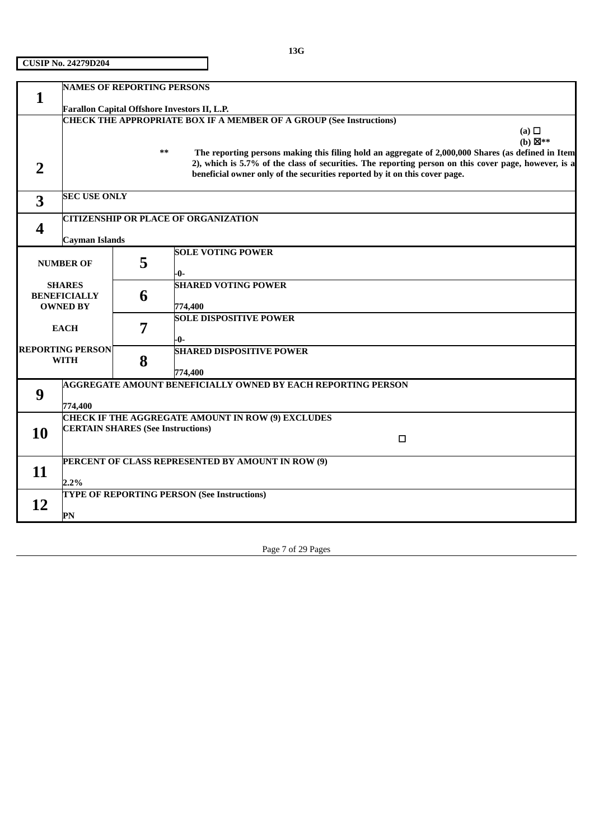|                |                                          | <b>NAMES OF REPORTING PERSONS</b> |                                                                                                                                                                                                            |                    |  |  |
|----------------|------------------------------------------|-----------------------------------|------------------------------------------------------------------------------------------------------------------------------------------------------------------------------------------------------------|--------------------|--|--|
| 1              |                                          |                                   | Farallon Capital Offshore Investors II, L.P.                                                                                                                                                               |                    |  |  |
|                |                                          |                                   | <b>CHECK THE APPROPRIATE BOX IF A MEMBER OF A GROUP (See Instructions)</b>                                                                                                                                 |                    |  |  |
|                |                                          |                                   |                                                                                                                                                                                                            | (a) $\Box$         |  |  |
|                |                                          | **                                |                                                                                                                                                                                                            | $(b) \boxtimes$ ** |  |  |
|                |                                          |                                   | The reporting persons making this filing hold an aggregate of 2,000,000 Shares (as defined in Item<br>2), which is 5.7% of the class of securities. The reporting person on this cover page, however, is a |                    |  |  |
| $\overline{2}$ |                                          |                                   | beneficial owner only of the securities reported by it on this cover page.                                                                                                                                 |                    |  |  |
|                |                                          |                                   |                                                                                                                                                                                                            |                    |  |  |
| 3              | <b>SEC USE ONLY</b>                      |                                   |                                                                                                                                                                                                            |                    |  |  |
|                |                                          |                                   | <b>CITIZENSHIP OR PLACE OF ORGANIZATION</b>                                                                                                                                                                |                    |  |  |
| 4              |                                          |                                   |                                                                                                                                                                                                            |                    |  |  |
|                | Cayman Islands                           |                                   |                                                                                                                                                                                                            |                    |  |  |
|                |                                          | 5                                 | <b>SOLE VOTING POWER</b>                                                                                                                                                                                   |                    |  |  |
|                | <b>NUMBER OF</b>                         |                                   | -0-                                                                                                                                                                                                        |                    |  |  |
|                | <b>SHARES</b>                            |                                   | <b>SHARED VOTING POWER</b>                                                                                                                                                                                 |                    |  |  |
|                | <b>BENEFICIALLY</b>                      | 6                                 |                                                                                                                                                                                                            |                    |  |  |
|                | <b>OWNED BY</b>                          |                                   | 774,400<br><b>SOLE DISPOSITIVE POWER</b>                                                                                                                                                                   |                    |  |  |
|                | <b>EACH</b>                              | 7                                 |                                                                                                                                                                                                            |                    |  |  |
|                |                                          |                                   | -0-                                                                                                                                                                                                        |                    |  |  |
|                | <b>REPORTING PERSON</b>                  |                                   | <b>SHARED DISPOSITIVE POWER</b>                                                                                                                                                                            |                    |  |  |
|                | <b>WITH</b>                              | 8                                 | 774,400                                                                                                                                                                                                    |                    |  |  |
|                |                                          |                                   | <b>AGGREGATE AMOUNT BENEFICIALLY OWNED BY EACH REPORTING PERSON</b>                                                                                                                                        |                    |  |  |
| 9              |                                          |                                   |                                                                                                                                                                                                            |                    |  |  |
|                | 774,400                                  |                                   |                                                                                                                                                                                                            |                    |  |  |
|                | <b>CERTAIN SHARES (See Instructions)</b> |                                   | <b>CHECK IF THE AGGREGATE AMOUNT IN ROW (9) EXCLUDES</b>                                                                                                                                                   |                    |  |  |
| 10             |                                          |                                   | $\Box$                                                                                                                                                                                                     |                    |  |  |
|                |                                          |                                   |                                                                                                                                                                                                            |                    |  |  |
|                |                                          |                                   | PERCENT OF CLASS REPRESENTED BY AMOUNT IN ROW (9)                                                                                                                                                          |                    |  |  |
| 11             | 2.2%                                     |                                   |                                                                                                                                                                                                            |                    |  |  |
|                |                                          |                                   | <b>TYPE OF REPORTING PERSON (See Instructions)</b>                                                                                                                                                         |                    |  |  |
| 12             |                                          |                                   |                                                                                                                                                                                                            |                    |  |  |
|                | PN                                       |                                   |                                                                                                                                                                                                            |                    |  |  |

Page 7 of 29 Pages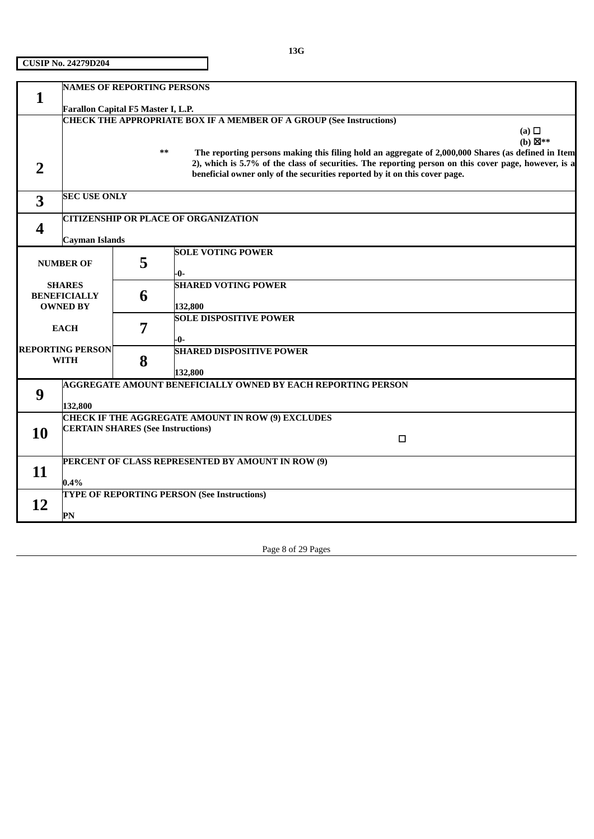|    | <b>NAMES OF REPORTING PERSONS</b>        |                                                                                                                  |                                                                                                      |                    |  |  |  |  |  |
|----|------------------------------------------|------------------------------------------------------------------------------------------------------------------|------------------------------------------------------------------------------------------------------|--------------------|--|--|--|--|--|
| 1  |                                          |                                                                                                                  |                                                                                                      |                    |  |  |  |  |  |
|    |                                          | Farallon Capital F5 Master I, L.P.<br><b>CHECK THE APPROPRIATE BOX IF A MEMBER OF A GROUP (See Instructions)</b> |                                                                                                      |                    |  |  |  |  |  |
|    |                                          |                                                                                                                  |                                                                                                      | (a) $\Box$         |  |  |  |  |  |
|    |                                          |                                                                                                                  |                                                                                                      | $(b) \boxtimes$ ** |  |  |  |  |  |
|    |                                          | **                                                                                                               | The reporting persons making this filing hold an aggregate of 2,000,000 Shares (as defined in Item   |                    |  |  |  |  |  |
|    |                                          |                                                                                                                  | 2), which is 5.7% of the class of securities. The reporting person on this cover page, however, is a |                    |  |  |  |  |  |
| 2  |                                          |                                                                                                                  | beneficial owner only of the securities reported by it on this cover page.                           |                    |  |  |  |  |  |
|    |                                          |                                                                                                                  |                                                                                                      |                    |  |  |  |  |  |
| 3  | <b>SEC USE ONLY</b>                      |                                                                                                                  |                                                                                                      |                    |  |  |  |  |  |
|    |                                          |                                                                                                                  |                                                                                                      |                    |  |  |  |  |  |
|    |                                          |                                                                                                                  | <b>CITIZENSHIP OR PLACE OF ORGANIZATION</b>                                                          |                    |  |  |  |  |  |
| 4  |                                          |                                                                                                                  |                                                                                                      |                    |  |  |  |  |  |
|    | <b>Cayman Islands</b>                    |                                                                                                                  |                                                                                                      |                    |  |  |  |  |  |
|    |                                          |                                                                                                                  | <b>SOLE VOTING POWER</b>                                                                             |                    |  |  |  |  |  |
|    | <b>NUMBER OF</b>                         | 5                                                                                                                |                                                                                                      |                    |  |  |  |  |  |
|    |                                          |                                                                                                                  | -0-                                                                                                  |                    |  |  |  |  |  |
|    | <b>SHARES</b><br><b>BENEFICIALLY</b>     |                                                                                                                  | <b>SHARED VOTING POWER</b>                                                                           |                    |  |  |  |  |  |
|    | <b>OWNED BY</b>                          | 6                                                                                                                | 132,800                                                                                              |                    |  |  |  |  |  |
|    |                                          |                                                                                                                  | <b>SOLE DISPOSITIVE POWER</b>                                                                        |                    |  |  |  |  |  |
|    | <b>EACH</b>                              | 7                                                                                                                |                                                                                                      |                    |  |  |  |  |  |
|    |                                          |                                                                                                                  | -0-                                                                                                  |                    |  |  |  |  |  |
|    | <b>REPORTING PERSON</b>                  |                                                                                                                  | <b>SHARED DISPOSITIVE POWER</b>                                                                      |                    |  |  |  |  |  |
|    | <b>WITH</b>                              | 8                                                                                                                |                                                                                                      |                    |  |  |  |  |  |
|    |                                          |                                                                                                                  | 132,800                                                                                              |                    |  |  |  |  |  |
|    |                                          |                                                                                                                  | <b>AGGREGATE AMOUNT BENEFICIALLY OWNED BY EACH REPORTING PERSON</b>                                  |                    |  |  |  |  |  |
| 9  |                                          |                                                                                                                  |                                                                                                      |                    |  |  |  |  |  |
|    | 132,800                                  |                                                                                                                  |                                                                                                      |                    |  |  |  |  |  |
|    |                                          | CHECK IF THE AGGREGATE AMOUNT IN ROW (9) EXCLUDES                                                                |                                                                                                      |                    |  |  |  |  |  |
| 10 | <b>CERTAIN SHARES (See Instructions)</b> |                                                                                                                  |                                                                                                      |                    |  |  |  |  |  |
|    |                                          |                                                                                                                  | □                                                                                                    |                    |  |  |  |  |  |
|    |                                          |                                                                                                                  |                                                                                                      |                    |  |  |  |  |  |
| 11 |                                          |                                                                                                                  | PERCENT OF CLASS REPRESENTED BY AMOUNT IN ROW (9)                                                    |                    |  |  |  |  |  |
|    | 0.4%                                     |                                                                                                                  |                                                                                                      |                    |  |  |  |  |  |
|    |                                          |                                                                                                                  | <b>TYPE OF REPORTING PERSON (See Instructions)</b>                                                   |                    |  |  |  |  |  |
| 12 |                                          |                                                                                                                  |                                                                                                      |                    |  |  |  |  |  |
|    | PN                                       |                                                                                                                  |                                                                                                      |                    |  |  |  |  |  |

Page 8 of 29 Pages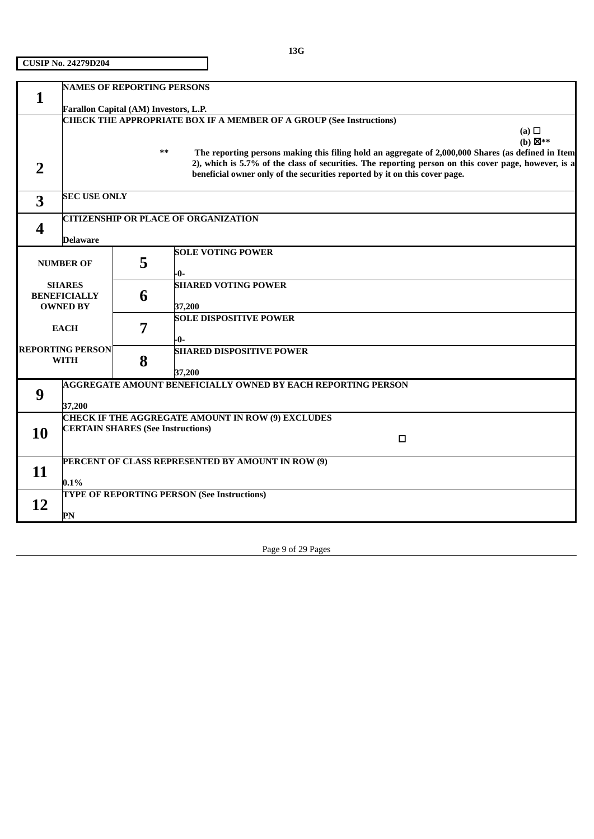| $\mathbf{1}$   | <b>NAMES OF REPORTING PERSONS</b>        |    |                                                                                                      |                    |  |
|----------------|------------------------------------------|----|------------------------------------------------------------------------------------------------------|--------------------|--|
|                | Farallon Capital (AM) Investors, L.P.    |    |                                                                                                      |                    |  |
|                |                                          |    | <b>CHECK THE APPROPRIATE BOX IF A MEMBER OF A GROUP (See Instructions)</b>                           |                    |  |
|                |                                          |    |                                                                                                      | (a) $\Box$         |  |
|                |                                          | ** | The reporting persons making this filing hold an aggregate of 2,000,000 Shares (as defined in Item   | (b) $\boxtimes$ ** |  |
|                |                                          |    | 2), which is 5.7% of the class of securities. The reporting person on this cover page, however, is a |                    |  |
| $\overline{2}$ |                                          |    | beneficial owner only of the securities reported by it on this cover page.                           |                    |  |
|                |                                          |    |                                                                                                      |                    |  |
| 3              | <b>SEC USE ONLY</b>                      |    |                                                                                                      |                    |  |
|                |                                          |    | <b>CITIZENSHIP OR PLACE OF ORGANIZATION</b>                                                          |                    |  |
| 4              | <b>Delaware</b>                          |    |                                                                                                      |                    |  |
|                |                                          |    | <b>SOLE VOTING POWER</b>                                                                             |                    |  |
|                | <b>NUMBER OF</b>                         | 5  |                                                                                                      |                    |  |
|                |                                          |    | -0-                                                                                                  |                    |  |
|                | <b>SHARES</b><br><b>BENEFICIALLY</b>     | 6  | <b>SHARED VOTING POWER</b>                                                                           |                    |  |
|                | <b>OWNED BY</b>                          |    | 37,200                                                                                               |                    |  |
|                |                                          |    | <b>SOLE DISPOSITIVE POWER</b>                                                                        |                    |  |
|                | <b>EACH</b>                              | 7  |                                                                                                      |                    |  |
|                | <b>REPORTING PERSON</b>                  |    | -0-<br><b>SHARED DISPOSITIVE POWER</b>                                                               |                    |  |
|                | <b>WITH</b>                              | 8  |                                                                                                      |                    |  |
|                |                                          |    | 37,200                                                                                               |                    |  |
|                |                                          |    | <b>AGGREGATE AMOUNT BENEFICIALLY OWNED BY EACH REPORTING PERSON</b>                                  |                    |  |
| 9              | 37,200                                   |    |                                                                                                      |                    |  |
|                |                                          |    | CHECK IF THE AGGREGATE AMOUNT IN ROW (9) EXCLUDES                                                    |                    |  |
| 10             | <b>CERTAIN SHARES (See Instructions)</b> |    |                                                                                                      |                    |  |
|                |                                          |    | □                                                                                                    |                    |  |
|                |                                          |    | PERCENT OF CLASS REPRESENTED BY AMOUNT IN ROW (9)                                                    |                    |  |
| 11             |                                          |    |                                                                                                      |                    |  |
|                | 0.1%                                     |    |                                                                                                      |                    |  |
| 12             |                                          |    | <b>TYPE OF REPORTING PERSON (See Instructions)</b>                                                   |                    |  |
|                | PN                                       |    |                                                                                                      |                    |  |

Page 9 of 29 Pages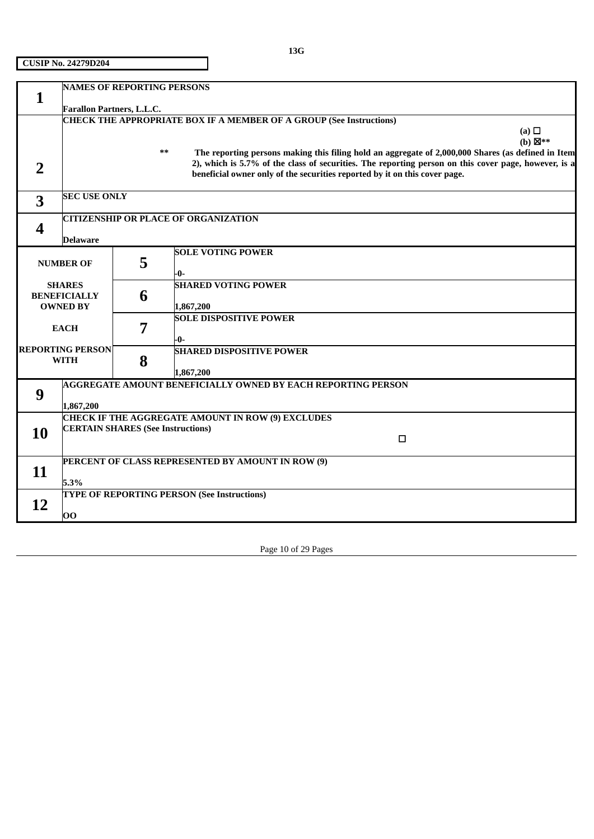|    | <b>NAMES OF REPORTING PERSONS</b>                                                                              |                                          |                                                                                                      |                    |  |  |
|----|----------------------------------------------------------------------------------------------------------------|------------------------------------------|------------------------------------------------------------------------------------------------------|--------------------|--|--|
| 1  |                                                                                                                |                                          |                                                                                                      |                    |  |  |
|    | <b>Farallon Partners, L.L.C.</b><br><b>CHECK THE APPROPRIATE BOX IF A MEMBER OF A GROUP (See Instructions)</b> |                                          |                                                                                                      |                    |  |  |
|    |                                                                                                                |                                          |                                                                                                      | (a) $\Box$         |  |  |
|    |                                                                                                                |                                          |                                                                                                      | $(b) \boxtimes$ ** |  |  |
|    |                                                                                                                | $***$                                    | The reporting persons making this filing hold an aggregate of 2,000,000 Shares (as defined in Item   |                    |  |  |
| 2  |                                                                                                                |                                          | 2), which is 5.7% of the class of securities. The reporting person on this cover page, however, is a |                    |  |  |
|    |                                                                                                                |                                          | beneficial owner only of the securities reported by it on this cover page.                           |                    |  |  |
|    |                                                                                                                |                                          |                                                                                                      |                    |  |  |
| 3  | <b>SEC USE ONLY</b>                                                                                            |                                          |                                                                                                      |                    |  |  |
|    |                                                                                                                |                                          |                                                                                                      |                    |  |  |
|    |                                                                                                                |                                          | <b>CITIZENSHIP OR PLACE OF ORGANIZATION</b>                                                          |                    |  |  |
| 4  | <b>Delaware</b>                                                                                                |                                          |                                                                                                      |                    |  |  |
|    |                                                                                                                |                                          | <b>SOLE VOTING POWER</b>                                                                             |                    |  |  |
|    | <b>NUMBER OF</b>                                                                                               | 5                                        |                                                                                                      |                    |  |  |
|    |                                                                                                                |                                          | -0-                                                                                                  |                    |  |  |
|    | <b>SHARES</b>                                                                                                  |                                          | <b>SHARED VOTING POWER</b>                                                                           |                    |  |  |
|    | <b>BENEFICIALLY</b>                                                                                            | 6                                        |                                                                                                      |                    |  |  |
|    | <b>OWNED BY</b>                                                                                                |                                          | 1,867,200                                                                                            |                    |  |  |
|    |                                                                                                                |                                          | <b>SOLE DISPOSITIVE POWER</b>                                                                        |                    |  |  |
|    | <b>EACH</b>                                                                                                    | 7                                        |                                                                                                      |                    |  |  |
|    | <b>REPORTING PERSON</b>                                                                                        |                                          | -0-                                                                                                  |                    |  |  |
|    | <b>WITH</b>                                                                                                    | 8                                        | <b>SHARED DISPOSITIVE POWER</b>                                                                      |                    |  |  |
|    |                                                                                                                |                                          | 1,867,200                                                                                            |                    |  |  |
|    |                                                                                                                |                                          | <b>AGGREGATE AMOUNT BENEFICIALLY OWNED BY EACH REPORTING PERSON</b>                                  |                    |  |  |
| 9  |                                                                                                                |                                          |                                                                                                      |                    |  |  |
|    | 1,867,200                                                                                                      |                                          |                                                                                                      |                    |  |  |
|    |                                                                                                                |                                          | <b>CHECK IF THE AGGREGATE AMOUNT IN ROW (9) EXCLUDES</b>                                             |                    |  |  |
| 10 |                                                                                                                | <b>CERTAIN SHARES (See Instructions)</b> |                                                                                                      |                    |  |  |
|    |                                                                                                                |                                          | □                                                                                                    |                    |  |  |
|    |                                                                                                                |                                          |                                                                                                      |                    |  |  |
| 11 |                                                                                                                |                                          | PERCENT OF CLASS REPRESENTED BY AMOUNT IN ROW (9)                                                    |                    |  |  |
|    | 5.3%                                                                                                           |                                          |                                                                                                      |                    |  |  |
|    |                                                                                                                |                                          | <b>TYPE OF REPORTING PERSON (See Instructions)</b>                                                   |                    |  |  |
| 12 |                                                                                                                |                                          |                                                                                                      |                    |  |  |
|    | 00                                                                                                             |                                          |                                                                                                      |                    |  |  |

Page 10 of 29 Pages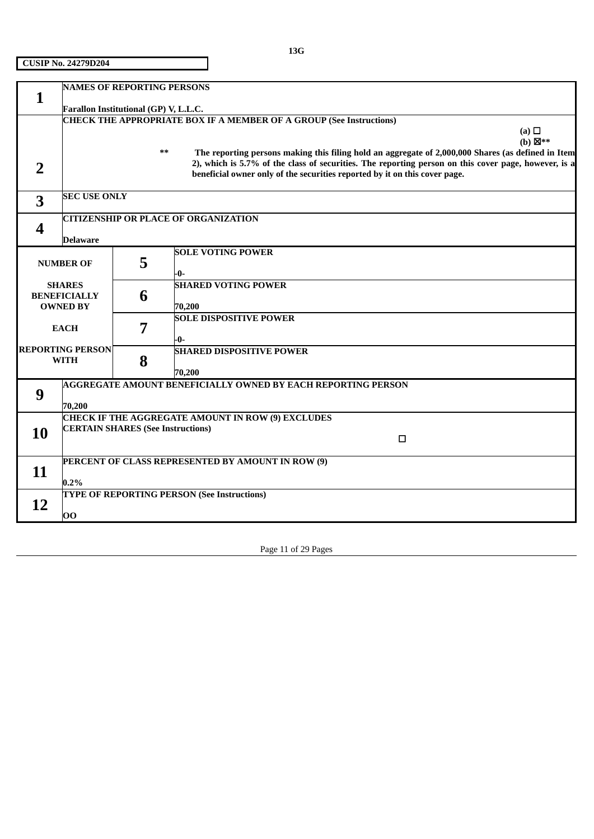|                | <b>NAMES OF REPORTING PERSONS</b>                                   |       |                                                                                                                                                                                                            |                    |  |
|----------------|---------------------------------------------------------------------|-------|------------------------------------------------------------------------------------------------------------------------------------------------------------------------------------------------------------|--------------------|--|
| 1              |                                                                     |       |                                                                                                                                                                                                            |                    |  |
|                | Farallon Institutional (GP) V, L.L.C.                               |       |                                                                                                                                                                                                            |                    |  |
|                | CHECK THE APPROPRIATE BOX IF A MEMBER OF A GROUP (See Instructions) |       |                                                                                                                                                                                                            |                    |  |
|                |                                                                     |       |                                                                                                                                                                                                            | (a) $\Box$         |  |
|                |                                                                     | $***$ |                                                                                                                                                                                                            | (b) $\boxtimes$ ** |  |
|                |                                                                     |       | The reporting persons making this filing hold an aggregate of 2,000,000 Shares (as defined in Item<br>2), which is 5.7% of the class of securities. The reporting person on this cover page, however, is a |                    |  |
| $\overline{2}$ |                                                                     |       | beneficial owner only of the securities reported by it on this cover page.                                                                                                                                 |                    |  |
|                |                                                                     |       |                                                                                                                                                                                                            |                    |  |
| 3              | <b>SEC USE ONLY</b>                                                 |       |                                                                                                                                                                                                            |                    |  |
|                |                                                                     |       |                                                                                                                                                                                                            |                    |  |
|                |                                                                     |       | <b>CITIZENSHIP OR PLACE OF ORGANIZATION</b>                                                                                                                                                                |                    |  |
| 4              |                                                                     |       |                                                                                                                                                                                                            |                    |  |
|                | Delaware                                                            |       | <b>SOLE VOTING POWER</b>                                                                                                                                                                                   |                    |  |
|                | <b>NUMBER OF</b>                                                    | 5     |                                                                                                                                                                                                            |                    |  |
|                |                                                                     |       | -0-                                                                                                                                                                                                        |                    |  |
|                | <b>SHARES</b>                                                       |       | <b>SHARED VOTING POWER</b>                                                                                                                                                                                 |                    |  |
|                | <b>BENEFICIALLY</b>                                                 | 6     |                                                                                                                                                                                                            |                    |  |
|                | <b>OWNED BY</b>                                                     |       | 70,200                                                                                                                                                                                                     |                    |  |
|                |                                                                     |       | <b>SOLE DISPOSITIVE POWER</b>                                                                                                                                                                              |                    |  |
|                | <b>EACH</b>                                                         | 7     |                                                                                                                                                                                                            |                    |  |
|                | <b>REPORTING PERSON</b>                                             |       | -0-<br><b>SHARED DISPOSITIVE POWER</b>                                                                                                                                                                     |                    |  |
|                | <b>WITH</b>                                                         | 8     |                                                                                                                                                                                                            |                    |  |
|                |                                                                     |       | 70,200                                                                                                                                                                                                     |                    |  |
|                |                                                                     |       | AGGREGATE AMOUNT BENEFICIALLY OWNED BY EACH REPORTING PERSON                                                                                                                                               |                    |  |
| 9              |                                                                     |       |                                                                                                                                                                                                            |                    |  |
|                | 70,200                                                              |       |                                                                                                                                                                                                            |                    |  |
|                |                                                                     |       | <b>CHECK IF THE AGGREGATE AMOUNT IN ROW (9) EXCLUDES</b>                                                                                                                                                   |                    |  |
| 10             | <b>CERTAIN SHARES (See Instructions)</b>                            |       | $\Box$                                                                                                                                                                                                     |                    |  |
|                |                                                                     |       |                                                                                                                                                                                                            |                    |  |
|                | PERCENT OF CLASS REPRESENTED BY AMOUNT IN ROW (9)                   |       |                                                                                                                                                                                                            |                    |  |
| 11             |                                                                     |       |                                                                                                                                                                                                            |                    |  |
|                | $0.2\%$                                                             |       |                                                                                                                                                                                                            |                    |  |
|                |                                                                     |       | <b>TYPE OF REPORTING PERSON (See Instructions)</b>                                                                                                                                                         |                    |  |
| 12             |                                                                     |       |                                                                                                                                                                                                            |                    |  |
|                | 00                                                                  |       |                                                                                                                                                                                                            |                    |  |

Page 11 of 29 Pages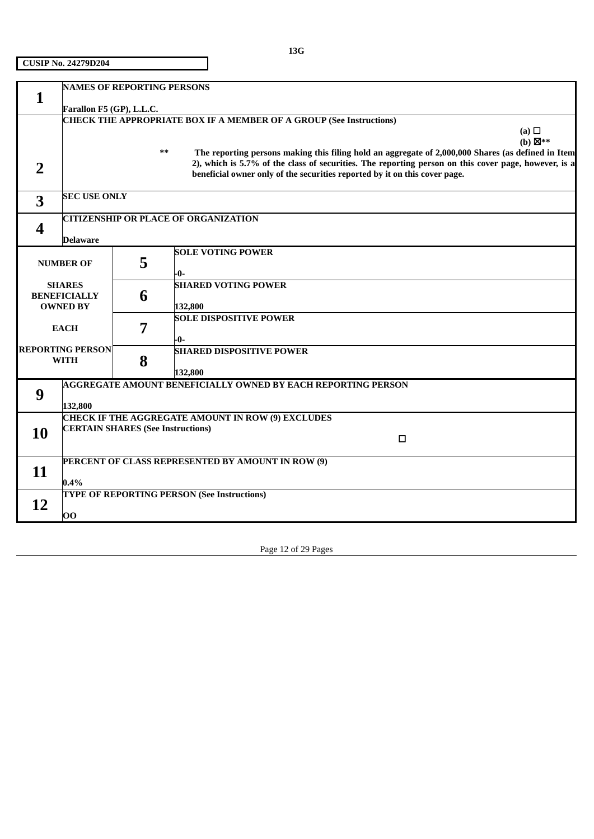|                                                          | <b>NAMES OF REPORTING PERSONS</b>                                                                      |                                          |                                                                                                      |                    |  |  |  |
|----------------------------------------------------------|--------------------------------------------------------------------------------------------------------|------------------------------------------|------------------------------------------------------------------------------------------------------|--------------------|--|--|--|
| 1                                                        |                                                                                                        |                                          |                                                                                                      |                    |  |  |  |
|                                                          | Farallon F5 (GP), L.L.C.<br><b>CHECK THE APPROPRIATE BOX IF A MEMBER OF A GROUP (See Instructions)</b> |                                          |                                                                                                      |                    |  |  |  |
|                                                          |                                                                                                        |                                          |                                                                                                      | (a) $\Box$         |  |  |  |
|                                                          |                                                                                                        |                                          |                                                                                                      | $(b) \boxtimes$ ** |  |  |  |
|                                                          |                                                                                                        | $***$                                    | The reporting persons making this filing hold an aggregate of 2,000,000 Shares (as defined in Item   |                    |  |  |  |
|                                                          |                                                                                                        |                                          | 2), which is 5.7% of the class of securities. The reporting person on this cover page, however, is a |                    |  |  |  |
| 2                                                        |                                                                                                        |                                          | beneficial owner only of the securities reported by it on this cover page.                           |                    |  |  |  |
|                                                          |                                                                                                        |                                          |                                                                                                      |                    |  |  |  |
| 3                                                        | <b>SEC USE ONLY</b>                                                                                    |                                          |                                                                                                      |                    |  |  |  |
|                                                          |                                                                                                        |                                          |                                                                                                      |                    |  |  |  |
|                                                          |                                                                                                        |                                          | <b>CITIZENSHIP OR PLACE OF ORGANIZATION</b>                                                          |                    |  |  |  |
| 4                                                        |                                                                                                        |                                          |                                                                                                      |                    |  |  |  |
|                                                          | <b>Delaware</b>                                                                                        |                                          |                                                                                                      |                    |  |  |  |
|                                                          |                                                                                                        |                                          | <b>SOLE VOTING POWER</b>                                                                             |                    |  |  |  |
|                                                          | <b>NUMBER OF</b>                                                                                       | 5                                        |                                                                                                      |                    |  |  |  |
|                                                          |                                                                                                        |                                          | -0-                                                                                                  |                    |  |  |  |
|                                                          | <b>SHARES</b>                                                                                          |                                          | <b>SHARED VOTING POWER</b>                                                                           |                    |  |  |  |
|                                                          | <b>BENEFICIALLY</b>                                                                                    | 6                                        |                                                                                                      |                    |  |  |  |
|                                                          | <b>OWNED BY</b>                                                                                        |                                          | 132,800                                                                                              |                    |  |  |  |
|                                                          | <b>EACH</b>                                                                                            | 7                                        | <b>SOLE DISPOSITIVE POWER</b>                                                                        |                    |  |  |  |
|                                                          |                                                                                                        |                                          | -0-                                                                                                  |                    |  |  |  |
|                                                          | <b>REPORTING PERSON</b>                                                                                |                                          | <b>SHARED DISPOSITIVE POWER</b>                                                                      |                    |  |  |  |
|                                                          | <b>WITH</b>                                                                                            | 8                                        |                                                                                                      |                    |  |  |  |
|                                                          |                                                                                                        |                                          | 132,800                                                                                              |                    |  |  |  |
|                                                          |                                                                                                        |                                          | <b>AGGREGATE AMOUNT BENEFICIALLY OWNED BY EACH REPORTING PERSON</b>                                  |                    |  |  |  |
| 9                                                        |                                                                                                        |                                          |                                                                                                      |                    |  |  |  |
|                                                          | 132,800                                                                                                |                                          |                                                                                                      |                    |  |  |  |
| <b>CHECK IF THE AGGREGATE AMOUNT IN ROW (9) EXCLUDES</b> |                                                                                                        |                                          |                                                                                                      |                    |  |  |  |
| 10                                                       |                                                                                                        | <b>CERTAIN SHARES (See Instructions)</b> |                                                                                                      |                    |  |  |  |
|                                                          |                                                                                                        |                                          | □                                                                                                    |                    |  |  |  |
|                                                          |                                                                                                        |                                          |                                                                                                      |                    |  |  |  |
|                                                          |                                                                                                        |                                          | PERCENT OF CLASS REPRESENTED BY AMOUNT IN ROW (9)                                                    |                    |  |  |  |
| 11                                                       |                                                                                                        |                                          |                                                                                                      |                    |  |  |  |
|                                                          | 0.4%                                                                                                   |                                          |                                                                                                      |                    |  |  |  |
|                                                          |                                                                                                        |                                          | <b>TYPE OF REPORTING PERSON (See Instructions)</b>                                                   |                    |  |  |  |
| 12                                                       | 00                                                                                                     |                                          |                                                                                                      |                    |  |  |  |
|                                                          |                                                                                                        |                                          |                                                                                                      |                    |  |  |  |

Page 12 of 29 Pages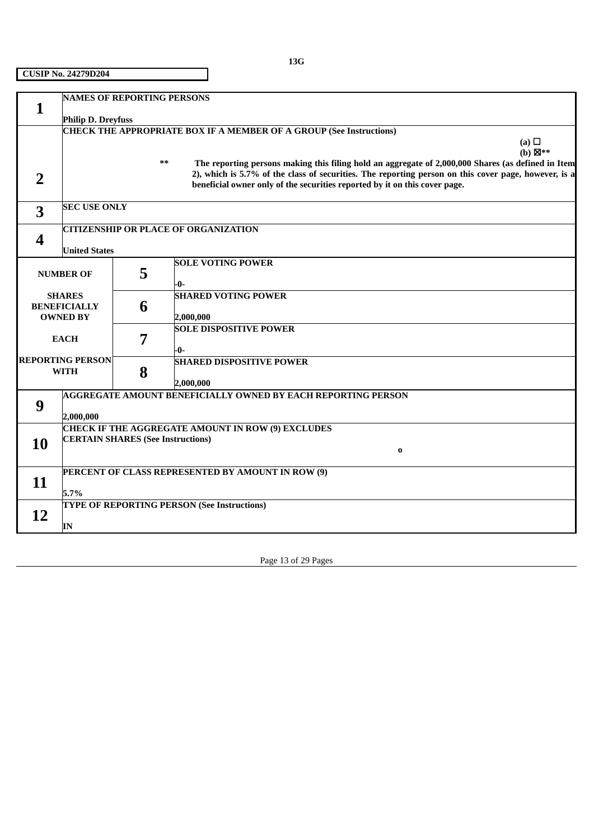**13G**

|                | <b>NAMES OF REPORTING PERSONS</b>        |    |                                                                                                      |
|----------------|------------------------------------------|----|------------------------------------------------------------------------------------------------------|
| $\mathbf{1}$   |                                          |    |                                                                                                      |
|                | <b>Philip D. Dreyfuss</b>                |    |                                                                                                      |
|                |                                          |    | CHECK THE APPROPRIATE BOX IF A MEMBER OF A GROUP (See Instructions)                                  |
|                |                                          |    | (a) $\Box$                                                                                           |
|                |                                          | ** | $(b) \boxtimes$ **                                                                                   |
|                |                                          |    | The reporting persons making this filing hold an aggregate of 2,000,000 Shares (as defined in Item   |
| $\overline{2}$ |                                          |    | 2), which is 5.7% of the class of securities. The reporting person on this cover page, however, is a |
|                |                                          |    | beneficial owner only of the securities reported by it on this cover page.                           |
|                | <b>SEC USE ONLY</b>                      |    |                                                                                                      |
| 3              |                                          |    |                                                                                                      |
|                |                                          |    | <b>CITIZENSHIP OR PLACE OF ORGANIZATION</b>                                                          |
| 4              |                                          |    |                                                                                                      |
|                | <b>United States</b>                     |    |                                                                                                      |
|                |                                          |    | <b>SOLE VOTING POWER</b>                                                                             |
|                | <b>NUMBER OF</b>                         | 5  |                                                                                                      |
|                |                                          |    | -0-                                                                                                  |
|                | <b>SHARES</b>                            |    | <b>SHARED VOTING POWER</b>                                                                           |
|                | <b>BENEFICIALLY</b>                      | 6  |                                                                                                      |
|                | <b>OWNED BY</b>                          |    | 2,000,000                                                                                            |
|                |                                          |    | <b>SOLE DISPOSITIVE POWER</b>                                                                        |
|                | <b>EACH</b>                              | 7  |                                                                                                      |
|                |                                          |    | -0-                                                                                                  |
|                | <b>REPORTING PERSON</b>                  |    | <b>SHARED DISPOSITIVE POWER</b>                                                                      |
|                | <b>WITH</b>                              | 8  |                                                                                                      |
|                |                                          |    | 2,000,000                                                                                            |
|                |                                          |    | <b>AGGREGATE AMOUNT BENEFICIALLY OWNED BY EACH REPORTING PERSON</b>                                  |
| 9              |                                          |    |                                                                                                      |
|                | 2,000,000                                |    |                                                                                                      |
|                |                                          |    | CHECK IF THE AGGREGATE AMOUNT IN ROW (9) EXCLUDES                                                    |
| <b>10</b>      | <b>CERTAIN SHARES (See Instructions)</b> |    |                                                                                                      |
|                |                                          |    | $\bf{0}$                                                                                             |
|                |                                          |    |                                                                                                      |
|                |                                          |    | PERCENT OF CLASS REPRESENTED BY AMOUNT IN ROW (9)                                                    |
| 11             |                                          |    |                                                                                                      |
|                | 5.7%                                     |    |                                                                                                      |
|                |                                          |    | <b>TYPE OF REPORTING PERSON (See Instructions)</b>                                                   |
| 12             |                                          |    |                                                                                                      |
|                | IN                                       |    |                                                                                                      |

Page 13 of 29 Pages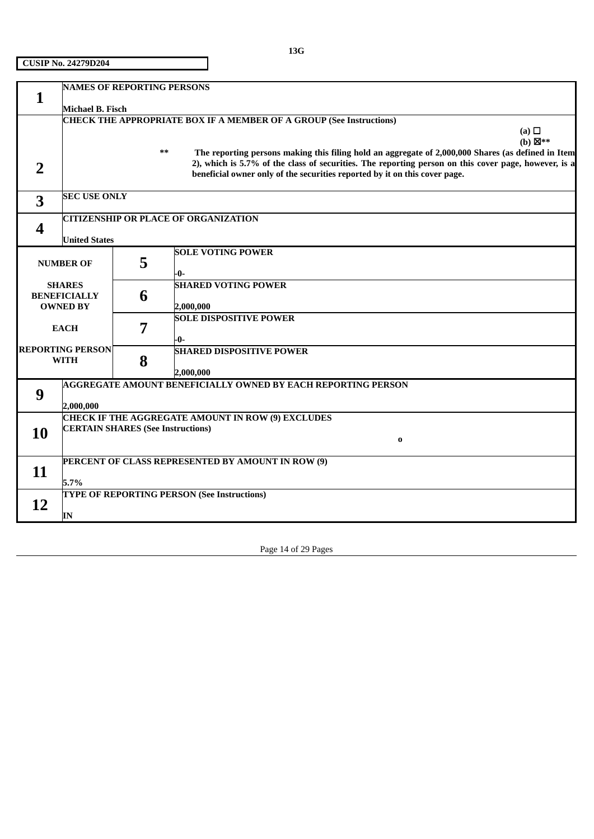| $\mathbf{1}$   | <b>NAMES OF REPORTING PERSONS</b>                                                                    |    |                                                                                                    |                    |  |  |  |
|----------------|------------------------------------------------------------------------------------------------------|----|----------------------------------------------------------------------------------------------------|--------------------|--|--|--|
|                | Michael B. Fisch                                                                                     |    |                                                                                                    |                    |  |  |  |
|                |                                                                                                      |    | CHECK THE APPROPRIATE BOX IF A MEMBER OF A GROUP (See Instructions)                                |                    |  |  |  |
|                | (a) $\Box$                                                                                           |    |                                                                                                    |                    |  |  |  |
|                |                                                                                                      |    |                                                                                                    | (b) $\boxtimes$ ** |  |  |  |
|                |                                                                                                      | ** | The reporting persons making this filing hold an aggregate of 2,000,000 Shares (as defined in Item |                    |  |  |  |
|                | 2), which is 5.7% of the class of securities. The reporting person on this cover page, however, is a |    |                                                                                                    |                    |  |  |  |
| $\overline{2}$ |                                                                                                      |    | beneficial owner only of the securities reported by it on this cover page.                         |                    |  |  |  |
|                |                                                                                                      |    |                                                                                                    |                    |  |  |  |
| 3              | <b>SEC USE ONLY</b>                                                                                  |    |                                                                                                    |                    |  |  |  |
|                |                                                                                                      |    |                                                                                                    |                    |  |  |  |
|                |                                                                                                      |    | <b>CITIZENSHIP OR PLACE OF ORGANIZATION</b>                                                        |                    |  |  |  |
| 4              |                                                                                                      |    |                                                                                                    |                    |  |  |  |
|                | <b>United States</b>                                                                                 |    |                                                                                                    |                    |  |  |  |
|                |                                                                                                      |    | <b>SOLE VOTING POWER</b>                                                                           |                    |  |  |  |
|                | <b>NUMBER OF</b>                                                                                     | 5  |                                                                                                    |                    |  |  |  |
|                |                                                                                                      |    | -0-                                                                                                |                    |  |  |  |
|                | <b>SHARES</b>                                                                                        |    | <b>SHARED VOTING POWER</b>                                                                         |                    |  |  |  |
|                | <b>BENEFICIALLY</b>                                                                                  | 6  |                                                                                                    |                    |  |  |  |
|                | <b>OWNED BY</b>                                                                                      |    | 2,000,000                                                                                          |                    |  |  |  |
|                |                                                                                                      |    | <b>SOLE DISPOSITIVE POWER</b>                                                                      |                    |  |  |  |
|                | <b>EACH</b>                                                                                          | 7  |                                                                                                    |                    |  |  |  |
|                |                                                                                                      |    | -0-                                                                                                |                    |  |  |  |
|                | <b>REPORTING PERSON</b>                                                                              |    | <b>SHARED DISPOSITIVE POWER</b>                                                                    |                    |  |  |  |
|                | <b>WITH</b>                                                                                          | 8  |                                                                                                    |                    |  |  |  |
|                |                                                                                                      |    | 2,000,000                                                                                          |                    |  |  |  |
|                |                                                                                                      |    | <b>AGGREGATE AMOUNT BENEFICIALLY OWNED BY EACH REPORTING PERSON</b>                                |                    |  |  |  |
| 9              |                                                                                                      |    |                                                                                                    |                    |  |  |  |
|                | 2,000,000                                                                                            |    |                                                                                                    |                    |  |  |  |
|                | <b>CHECK IF THE AGGREGATE AMOUNT IN ROW (9) EXCLUDES</b><br><b>CERTAIN SHARES (See Instructions)</b> |    |                                                                                                    |                    |  |  |  |
| 10             |                                                                                                      |    | $\bf{0}$                                                                                           |                    |  |  |  |
|                |                                                                                                      |    |                                                                                                    |                    |  |  |  |
|                |                                                                                                      |    | PERCENT OF CLASS REPRESENTED BY AMOUNT IN ROW (9)                                                  |                    |  |  |  |
| 11             |                                                                                                      |    |                                                                                                    |                    |  |  |  |
|                | 5.7%                                                                                                 |    |                                                                                                    |                    |  |  |  |
|                |                                                                                                      |    | TYPE OF REPORTING PERSON (See Instructions)                                                        |                    |  |  |  |
| 12             |                                                                                                      |    |                                                                                                    |                    |  |  |  |
|                | IN                                                                                                   |    |                                                                                                    |                    |  |  |  |

Page 14 of 29 Pages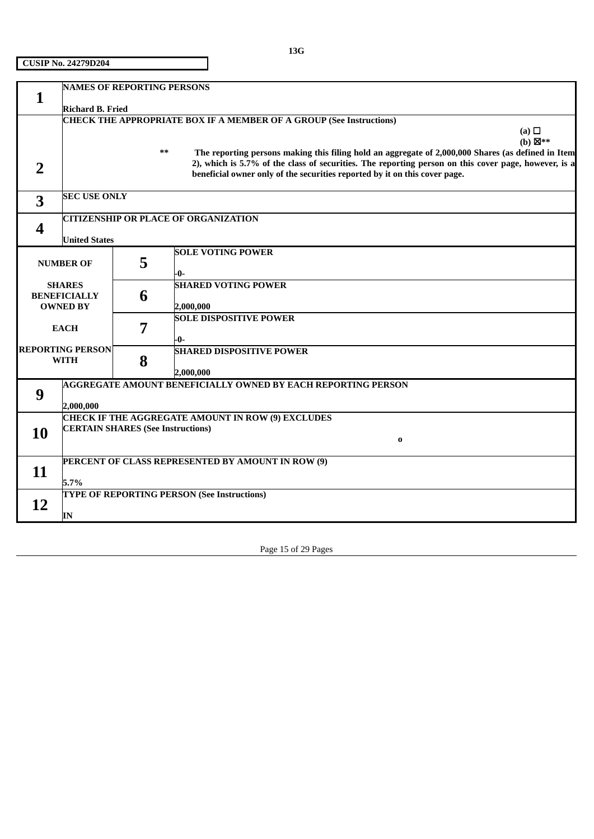|    | <b>NAMES OF REPORTING PERSONS</b> |                                          |                                                                                                      |                    |  |  |  |  |
|----|-----------------------------------|------------------------------------------|------------------------------------------------------------------------------------------------------|--------------------|--|--|--|--|
|    |                                   |                                          |                                                                                                      |                    |  |  |  |  |
|    | <b>Richard B. Fried</b>           |                                          |                                                                                                      |                    |  |  |  |  |
|    |                                   |                                          | CHECK THE APPROPRIATE BOX IF A MEMBER OF A GROUP (See Instructions)                                  |                    |  |  |  |  |
|    |                                   |                                          |                                                                                                      | (a) $\Box$         |  |  |  |  |
|    |                                   |                                          |                                                                                                      | (b) $\boxtimes$ ** |  |  |  |  |
|    |                                   | **                                       | The reporting persons making this filing hold an aggregate of 2,000,000 Shares (as defined in Item   |                    |  |  |  |  |
|    |                                   |                                          | 2), which is 5.7% of the class of securities. The reporting person on this cover page, however, is a |                    |  |  |  |  |
|    |                                   |                                          | beneficial owner only of the securities reported by it on this cover page.                           |                    |  |  |  |  |
|    |                                   |                                          |                                                                                                      |                    |  |  |  |  |
|    | <b>SEC USE ONLY</b>               |                                          |                                                                                                      |                    |  |  |  |  |
| 3  |                                   |                                          |                                                                                                      |                    |  |  |  |  |
|    |                                   |                                          | <b>CITIZENSHIP OR PLACE OF ORGANIZATION</b>                                                          |                    |  |  |  |  |
| 4  |                                   |                                          |                                                                                                      |                    |  |  |  |  |
|    | <b>United States</b>              |                                          |                                                                                                      |                    |  |  |  |  |
|    |                                   |                                          | <b>SOLE VOTING POWER</b>                                                                             |                    |  |  |  |  |
|    | <b>NUMBER OF</b>                  | 5                                        |                                                                                                      |                    |  |  |  |  |
|    |                                   |                                          | -0-                                                                                                  |                    |  |  |  |  |
|    | <b>SHARES</b>                     |                                          | <b>SHARED VOTING POWER</b>                                                                           |                    |  |  |  |  |
|    | <b>BENEFICIALLY</b>               | 6                                        |                                                                                                      |                    |  |  |  |  |
|    | <b>OWNED BY</b>                   |                                          |                                                                                                      |                    |  |  |  |  |
|    |                                   |                                          | 2,000,000                                                                                            |                    |  |  |  |  |
|    |                                   |                                          | <b>SOLE DISPOSITIVE POWER</b>                                                                        |                    |  |  |  |  |
|    | <b>EACH</b>                       | 7                                        |                                                                                                      |                    |  |  |  |  |
|    |                                   |                                          | -0-                                                                                                  |                    |  |  |  |  |
|    | <b>REPORTING PERSON</b>           |                                          | <b>SHARED DISPOSITIVE POWER</b>                                                                      |                    |  |  |  |  |
|    | <b>WITH</b>                       | 8                                        |                                                                                                      |                    |  |  |  |  |
|    |                                   |                                          | 2,000,000                                                                                            |                    |  |  |  |  |
|    |                                   |                                          | <b>AGGREGATE AMOUNT BENEFICIALLY OWNED BY EACH REPORTING PERSON</b>                                  |                    |  |  |  |  |
| 9  |                                   |                                          |                                                                                                      |                    |  |  |  |  |
|    | 2,000,000                         |                                          |                                                                                                      |                    |  |  |  |  |
|    |                                   |                                          | <b>CHECK IF THE AGGREGATE AMOUNT IN ROW (9) EXCLUDES</b>                                             |                    |  |  |  |  |
|    |                                   | <b>CERTAIN SHARES (See Instructions)</b> |                                                                                                      |                    |  |  |  |  |
| 10 |                                   |                                          | $\bf{0}$                                                                                             |                    |  |  |  |  |
|    |                                   |                                          |                                                                                                      |                    |  |  |  |  |
|    |                                   |                                          | PERCENT OF CLASS REPRESENTED BY AMOUNT IN ROW (9)                                                    |                    |  |  |  |  |
| 11 |                                   |                                          |                                                                                                      |                    |  |  |  |  |
|    | 5.7%                              |                                          |                                                                                                      |                    |  |  |  |  |
|    |                                   |                                          | <b>TYPE OF REPORTING PERSON (See Instructions)</b>                                                   |                    |  |  |  |  |
| 12 |                                   |                                          |                                                                                                      |                    |  |  |  |  |
|    | IN                                |                                          |                                                                                                      |                    |  |  |  |  |
|    |                                   |                                          |                                                                                                      |                    |  |  |  |  |

Page 15 of 29 Pages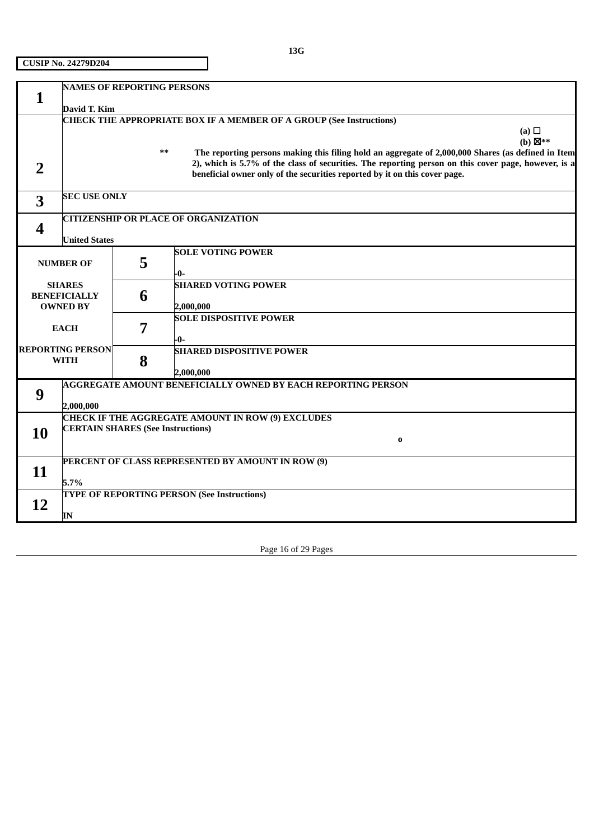|                | <b>NAMES OF REPORTING PERSONS</b>        |    |                                                                                                                                                                                    |                    |
|----------------|------------------------------------------|----|------------------------------------------------------------------------------------------------------------------------------------------------------------------------------------|--------------------|
| 1              |                                          |    |                                                                                                                                                                                    |                    |
|                | David T. Kim                             |    |                                                                                                                                                                                    |                    |
|                |                                          |    | CHECK THE APPROPRIATE BOX IF A MEMBER OF A GROUP (See Instructions)                                                                                                                |                    |
|                |                                          |    |                                                                                                                                                                                    | (a) $\Box$         |
|                |                                          |    |                                                                                                                                                                                    | (b) $\boxtimes$ ** |
|                |                                          | ** | The reporting persons making this filing hold an aggregate of 2,000,000 Shares (as defined in Item                                                                                 |                    |
| $\overline{2}$ |                                          |    | 2), which is 5.7% of the class of securities. The reporting person on this cover page, however, is a<br>beneficial owner only of the securities reported by it on this cover page. |                    |
|                |                                          |    |                                                                                                                                                                                    |                    |
|                | <b>SEC USE ONLY</b>                      |    |                                                                                                                                                                                    |                    |
| 3              |                                          |    |                                                                                                                                                                                    |                    |
|                |                                          |    | <b>CITIZENSHIP OR PLACE OF ORGANIZATION</b>                                                                                                                                        |                    |
| 4              |                                          |    |                                                                                                                                                                                    |                    |
|                | <b>United States</b>                     |    |                                                                                                                                                                                    |                    |
|                |                                          |    | <b>SOLE VOTING POWER</b>                                                                                                                                                           |                    |
|                | <b>NUMBER OF</b>                         | 5  | -0-                                                                                                                                                                                |                    |
|                | <b>SHARES</b>                            |    | <b>SHARED VOTING POWER</b>                                                                                                                                                         |                    |
|                | <b>BENEFICIALLY</b>                      | 6  |                                                                                                                                                                                    |                    |
|                | <b>OWNED BY</b>                          |    | 2,000,000                                                                                                                                                                          |                    |
|                |                                          |    | <b>SOLE DISPOSITIVE POWER</b>                                                                                                                                                      |                    |
|                | <b>EACH</b>                              | 7  |                                                                                                                                                                                    |                    |
|                | <b>REPORTING PERSON</b>                  |    | -0-                                                                                                                                                                                |                    |
|                | <b>WITH</b>                              | 8  | <b>SHARED DISPOSITIVE POWER</b>                                                                                                                                                    |                    |
|                |                                          |    | 2,000,000                                                                                                                                                                          |                    |
|                |                                          |    | <b>AGGREGATE AMOUNT BENEFICIALLY OWNED BY EACH REPORTING PERSON</b>                                                                                                                |                    |
| 9              |                                          |    |                                                                                                                                                                                    |                    |
|                | 2,000,000                                |    |                                                                                                                                                                                    |                    |
|                |                                          |    | CHECK IF THE AGGREGATE AMOUNT IN ROW (9) EXCLUDES                                                                                                                                  |                    |
| 10             | <b>CERTAIN SHARES (See Instructions)</b> |    |                                                                                                                                                                                    |                    |
|                |                                          |    | $\bf{0}$                                                                                                                                                                           |                    |
|                |                                          |    | PERCENT OF CLASS REPRESENTED BY AMOUNT IN ROW (9)                                                                                                                                  |                    |
| 11             |                                          |    |                                                                                                                                                                                    |                    |
|                | 5.7%                                     |    |                                                                                                                                                                                    |                    |
|                |                                          |    | <b>TYPE OF REPORTING PERSON (See Instructions)</b>                                                                                                                                 |                    |
| 12             |                                          |    |                                                                                                                                                                                    |                    |
|                | IN                                       |    |                                                                                                                                                                                    |                    |

Page 16 of 29 Pages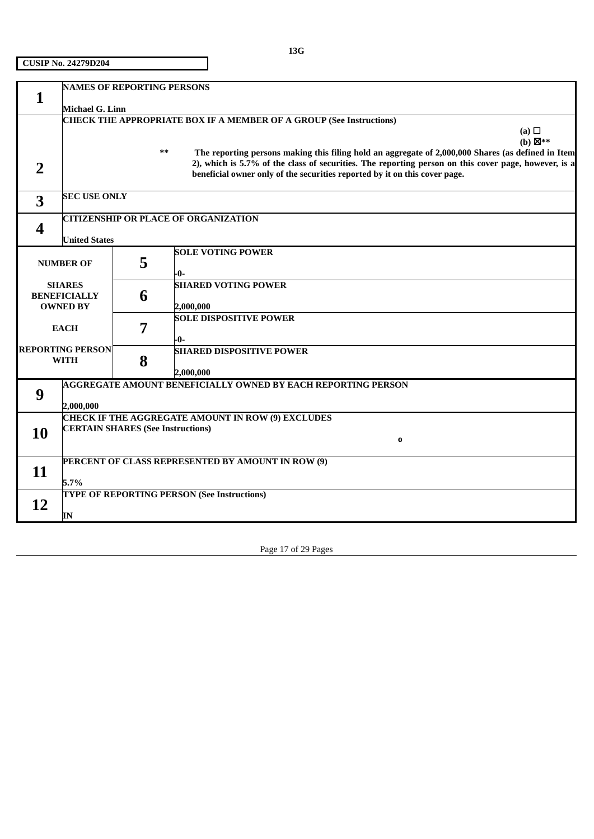|                | <b>NAMES OF REPORTING PERSONS</b>      |                                                                     |                                                                                                      |                    |  |  |  |  |  |
|----------------|----------------------------------------|---------------------------------------------------------------------|------------------------------------------------------------------------------------------------------|--------------------|--|--|--|--|--|
| 1              |                                        |                                                                     |                                                                                                      |                    |  |  |  |  |  |
|                | <b>Michael G. Linn</b>                 |                                                                     |                                                                                                      |                    |  |  |  |  |  |
|                |                                        | CHECK THE APPROPRIATE BOX IF A MEMBER OF A GROUP (See Instructions) |                                                                                                      |                    |  |  |  |  |  |
|                |                                        |                                                                     |                                                                                                      | (a) $\Box$         |  |  |  |  |  |
|                |                                        |                                                                     |                                                                                                      | (b) $\boxtimes$ ** |  |  |  |  |  |
|                |                                        | $***$                                                               | The reporting persons making this filing hold an aggregate of 2,000,000 Shares (as defined in Item   |                    |  |  |  |  |  |
|                |                                        |                                                                     | 2), which is 5.7% of the class of securities. The reporting person on this cover page, however, is a |                    |  |  |  |  |  |
| $\overline{2}$ |                                        |                                                                     | beneficial owner only of the securities reported by it on this cover page.                           |                    |  |  |  |  |  |
|                |                                        |                                                                     |                                                                                                      |                    |  |  |  |  |  |
| 3              | <b>SEC USE ONLY</b>                    |                                                                     |                                                                                                      |                    |  |  |  |  |  |
|                |                                        |                                                                     |                                                                                                      |                    |  |  |  |  |  |
|                |                                        |                                                                     | <b>CITIZENSHIP OR PLACE OF ORGANIZATION</b>                                                          |                    |  |  |  |  |  |
| 4              |                                        |                                                                     |                                                                                                      |                    |  |  |  |  |  |
|                | <b>United States</b>                   |                                                                     |                                                                                                      |                    |  |  |  |  |  |
|                |                                        |                                                                     | <b>SOLE VOTING POWER</b>                                                                             |                    |  |  |  |  |  |
|                | <b>NUMBER OF</b>                       | 5                                                                   |                                                                                                      |                    |  |  |  |  |  |
|                |                                        |                                                                     | -0-                                                                                                  |                    |  |  |  |  |  |
|                | <b>SHARES</b>                          |                                                                     | <b>SHARED VOTING POWER</b>                                                                           |                    |  |  |  |  |  |
|                | <b>BENEFICIALLY</b>                    | 6                                                                   |                                                                                                      |                    |  |  |  |  |  |
|                | <b>OWNED BY</b>                        |                                                                     | 2,000,000                                                                                            |                    |  |  |  |  |  |
|                |                                        |                                                                     | <b>SOLE DISPOSITIVE POWER</b>                                                                        |                    |  |  |  |  |  |
|                | <b>EACH</b>                            | 7                                                                   |                                                                                                      |                    |  |  |  |  |  |
|                |                                        |                                                                     | -0-                                                                                                  |                    |  |  |  |  |  |
|                | <b>REPORTING PERSON</b><br><b>WITH</b> |                                                                     | <b>SHARED DISPOSITIVE POWER</b>                                                                      |                    |  |  |  |  |  |
|                |                                        | 8                                                                   |                                                                                                      |                    |  |  |  |  |  |
|                |                                        |                                                                     | 2,000,000                                                                                            |                    |  |  |  |  |  |
|                |                                        |                                                                     | <b>AGGREGATE AMOUNT BENEFICIALLY OWNED BY EACH REPORTING PERSON</b>                                  |                    |  |  |  |  |  |
| 9              |                                        |                                                                     |                                                                                                      |                    |  |  |  |  |  |
|                | 2,000,000                              |                                                                     | <b>CHECK IF THE AGGREGATE AMOUNT IN ROW (9) EXCLUDES</b>                                             |                    |  |  |  |  |  |
|                |                                        | <b>CERTAIN SHARES (See Instructions)</b>                            |                                                                                                      |                    |  |  |  |  |  |
| 10             |                                        |                                                                     | $\bf{0}$                                                                                             |                    |  |  |  |  |  |
|                |                                        |                                                                     |                                                                                                      |                    |  |  |  |  |  |
|                |                                        |                                                                     | PERCENT OF CLASS REPRESENTED BY AMOUNT IN ROW (9)                                                    |                    |  |  |  |  |  |
| 11             |                                        |                                                                     |                                                                                                      |                    |  |  |  |  |  |
|                | 5.7%                                   |                                                                     |                                                                                                      |                    |  |  |  |  |  |
|                |                                        |                                                                     | <b>TYPE OF REPORTING PERSON (See Instructions)</b>                                                   |                    |  |  |  |  |  |
| 12             |                                        |                                                                     |                                                                                                      |                    |  |  |  |  |  |
|                | IN                                     |                                                                     |                                                                                                      |                    |  |  |  |  |  |

Page 17 of 29 Pages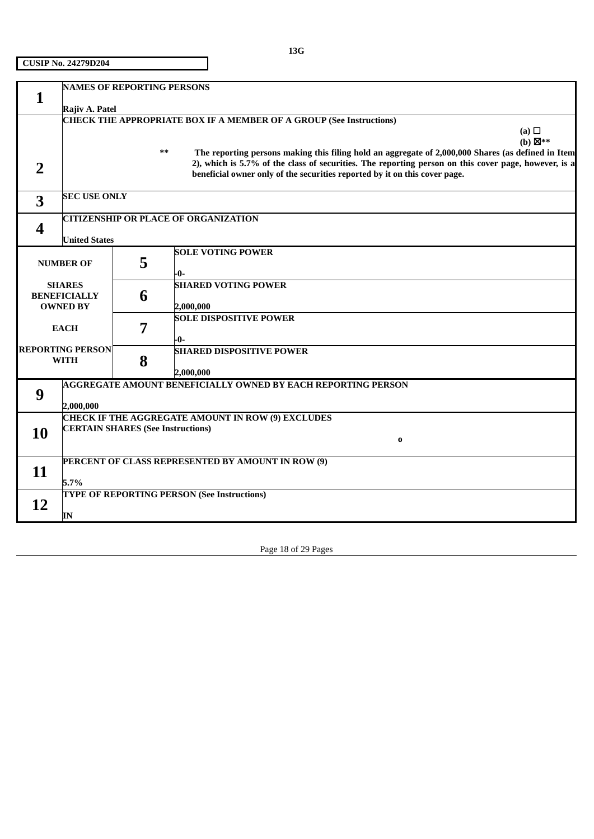| 1  | <b>NAMES OF REPORTING PERSONS</b>                                          |    |                                                                                                      |                    |  |  |  |  |  |
|----|----------------------------------------------------------------------------|----|------------------------------------------------------------------------------------------------------|--------------------|--|--|--|--|--|
|    | Rajiv A. Patel                                                             |    |                                                                                                      |                    |  |  |  |  |  |
|    | <b>CHECK THE APPROPRIATE BOX IF A MEMBER OF A GROUP (See Instructions)</b> |    |                                                                                                      |                    |  |  |  |  |  |
|    |                                                                            |    |                                                                                                      | (a) $\Box$         |  |  |  |  |  |
|    |                                                                            |    |                                                                                                      | (b) $\boxtimes$ ** |  |  |  |  |  |
|    |                                                                            | ** | The reporting persons making this filing hold an aggregate of 2,000,000 Shares (as defined in Item   |                    |  |  |  |  |  |
| 2  |                                                                            |    | 2), which is 5.7% of the class of securities. The reporting person on this cover page, however, is a |                    |  |  |  |  |  |
|    |                                                                            |    | beneficial owner only of the securities reported by it on this cover page.                           |                    |  |  |  |  |  |
| 3  | <b>SEC USE ONLY</b>                                                        |    |                                                                                                      |                    |  |  |  |  |  |
|    |                                                                            |    |                                                                                                      |                    |  |  |  |  |  |
|    |                                                                            |    | <b>CITIZENSHIP OR PLACE OF ORGANIZATION</b>                                                          |                    |  |  |  |  |  |
| 4  |                                                                            |    |                                                                                                      |                    |  |  |  |  |  |
|    | <b>United States</b>                                                       |    |                                                                                                      |                    |  |  |  |  |  |
|    |                                                                            | 5  | <b>SOLE VOTING POWER</b>                                                                             |                    |  |  |  |  |  |
|    | <b>NUMBER OF</b>                                                           |    | -0-                                                                                                  |                    |  |  |  |  |  |
|    | <b>SHARES</b>                                                              |    | <b>SHARED VOTING POWER</b>                                                                           |                    |  |  |  |  |  |
|    | <b>BENEFICIALLY</b>                                                        | 6  |                                                                                                      |                    |  |  |  |  |  |
|    | <b>OWNED BY</b>                                                            |    | 2,000,000                                                                                            |                    |  |  |  |  |  |
|    |                                                                            |    | <b>SOLE DISPOSITIVE POWER</b>                                                                        |                    |  |  |  |  |  |
|    | <b>EACH</b>                                                                | 7  |                                                                                                      |                    |  |  |  |  |  |
|    |                                                                            |    | -0-                                                                                                  |                    |  |  |  |  |  |
|    | <b>REPORTING PERSON</b>                                                    |    | <b>SHARED DISPOSITIVE POWER</b>                                                                      |                    |  |  |  |  |  |
|    | <b>WITH</b>                                                                | 8  |                                                                                                      |                    |  |  |  |  |  |
|    |                                                                            |    | 2,000,000                                                                                            |                    |  |  |  |  |  |
| 9  |                                                                            |    | <b>AGGREGATE AMOUNT BENEFICIALLY OWNED BY EACH REPORTING PERSON</b>                                  |                    |  |  |  |  |  |
|    | 2,000,000                                                                  |    |                                                                                                      |                    |  |  |  |  |  |
|    | CHECK IF THE AGGREGATE AMOUNT IN ROW (9) EXCLUDES                          |    |                                                                                                      |                    |  |  |  |  |  |
|    | <b>CERTAIN SHARES (See Instructions)</b>                                   |    |                                                                                                      |                    |  |  |  |  |  |
| 10 |                                                                            |    | $\bf{0}$                                                                                             |                    |  |  |  |  |  |
|    |                                                                            |    |                                                                                                      |                    |  |  |  |  |  |
|    |                                                                            |    | PERCENT OF CLASS REPRESENTED BY AMOUNT IN ROW (9)                                                    |                    |  |  |  |  |  |
| 11 |                                                                            |    |                                                                                                      |                    |  |  |  |  |  |
|    | 5.7%                                                                       |    | <b>TYPE OF REPORTING PERSON (See Instructions)</b>                                                   |                    |  |  |  |  |  |
| 12 |                                                                            |    |                                                                                                      |                    |  |  |  |  |  |
|    | IN                                                                         |    |                                                                                                      |                    |  |  |  |  |  |
|    |                                                                            |    |                                                                                                      |                    |  |  |  |  |  |

Page 18 of 29 Pages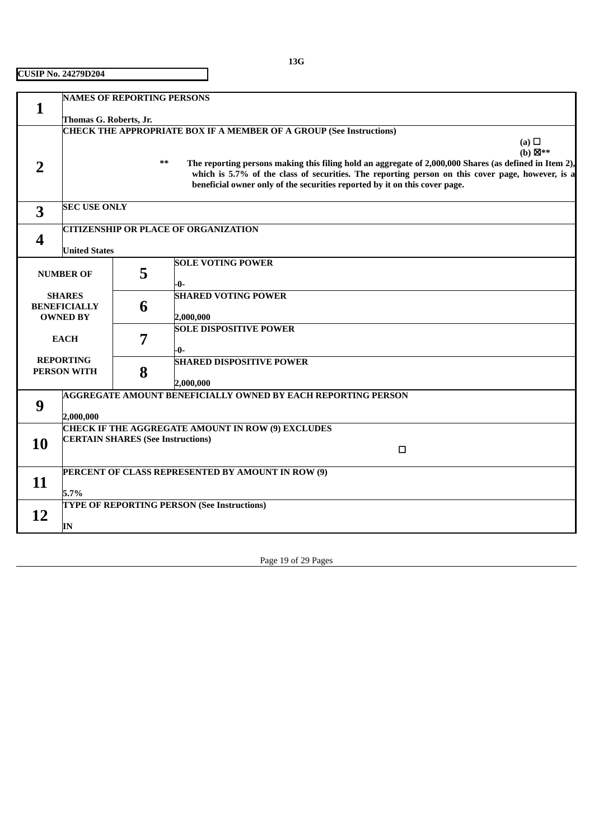**13G**

|                | <b>NAMES OF REPORTING PERSONS</b>        |                                                   |                                                                                                        |                    |  |  |  |
|----------------|------------------------------------------|---------------------------------------------------|--------------------------------------------------------------------------------------------------------|--------------------|--|--|--|
| $\mathbf{1}$   |                                          |                                                   |                                                                                                        |                    |  |  |  |
|                | Thomas G. Roberts, Jr.                   |                                                   |                                                                                                        |                    |  |  |  |
|                |                                          |                                                   | CHECK THE APPROPRIATE BOX IF A MEMBER OF A GROUP (See Instructions)                                    |                    |  |  |  |
|                |                                          |                                                   |                                                                                                        | (a) $\Box$         |  |  |  |
|                |                                          |                                                   | **                                                                                                     | $(b) \boxtimes$ ** |  |  |  |
| $\overline{2}$ |                                          |                                                   | The reporting persons making this filing hold an aggregate of 2,000,000 Shares (as defined in Item 2), |                    |  |  |  |
|                |                                          |                                                   | which is 5.7% of the class of securities. The reporting person on this cover page, however, is a       |                    |  |  |  |
|                |                                          |                                                   | beneficial owner only of the securities reported by it on this cover page.                             |                    |  |  |  |
|                | <b>SEC USE ONLY</b>                      |                                                   |                                                                                                        |                    |  |  |  |
| 3              |                                          |                                                   |                                                                                                        |                    |  |  |  |
|                |                                          |                                                   | <b>CITIZENSHIP OR PLACE OF ORGANIZATION</b>                                                            |                    |  |  |  |
| 4              |                                          |                                                   |                                                                                                        |                    |  |  |  |
|                | <b>United States</b>                     |                                                   |                                                                                                        |                    |  |  |  |
|                |                                          |                                                   | <b>SOLE VOTING POWER</b>                                                                               |                    |  |  |  |
|                | <b>NUMBER OF</b>                         | 5                                                 |                                                                                                        |                    |  |  |  |
|                |                                          |                                                   | -0-                                                                                                    |                    |  |  |  |
|                | <b>SHARES</b>                            |                                                   | <b>SHARED VOTING POWER</b>                                                                             |                    |  |  |  |
|                | <b>BENEFICIALLY</b>                      | 6                                                 |                                                                                                        |                    |  |  |  |
|                | <b>OWNED BY</b>                          |                                                   | 2,000,000                                                                                              |                    |  |  |  |
|                |                                          |                                                   | <b>SOLE DISPOSITIVE POWER</b>                                                                          |                    |  |  |  |
|                | <b>EACH</b>                              | 7                                                 |                                                                                                        |                    |  |  |  |
|                |                                          |                                                   | -0-                                                                                                    |                    |  |  |  |
|                | <b>REPORTING</b>                         |                                                   | <b>SHARED DISPOSITIVE POWER</b>                                                                        |                    |  |  |  |
|                | <b>PERSON WITH</b>                       | 8                                                 |                                                                                                        |                    |  |  |  |
|                |                                          |                                                   | 2,000,000                                                                                              |                    |  |  |  |
| 9              |                                          |                                                   | <b>AGGREGATE AMOUNT BENEFICIALLY OWNED BY EACH REPORTING PERSON</b>                                    |                    |  |  |  |
|                | 2,000,000                                |                                                   |                                                                                                        |                    |  |  |  |
|                |                                          |                                                   | CHECK IF THE AGGREGATE AMOUNT IN ROW (9) EXCLUDES                                                      |                    |  |  |  |
|                | <b>CERTAIN SHARES (See Instructions)</b> |                                                   |                                                                                                        |                    |  |  |  |
| 10             |                                          |                                                   | $\Box$                                                                                                 |                    |  |  |  |
|                |                                          |                                                   |                                                                                                        |                    |  |  |  |
|                |                                          | PERCENT OF CLASS REPRESENTED BY AMOUNT IN ROW (9) |                                                                                                        |                    |  |  |  |
| 11             |                                          |                                                   |                                                                                                        |                    |  |  |  |
|                | 5.7%                                     |                                                   |                                                                                                        |                    |  |  |  |
|                |                                          |                                                   | <b>TYPE OF REPORTING PERSON (See Instructions)</b>                                                     |                    |  |  |  |
| 12             |                                          |                                                   |                                                                                                        |                    |  |  |  |
|                | IN                                       |                                                   |                                                                                                        |                    |  |  |  |

Page 19 of 29 Pages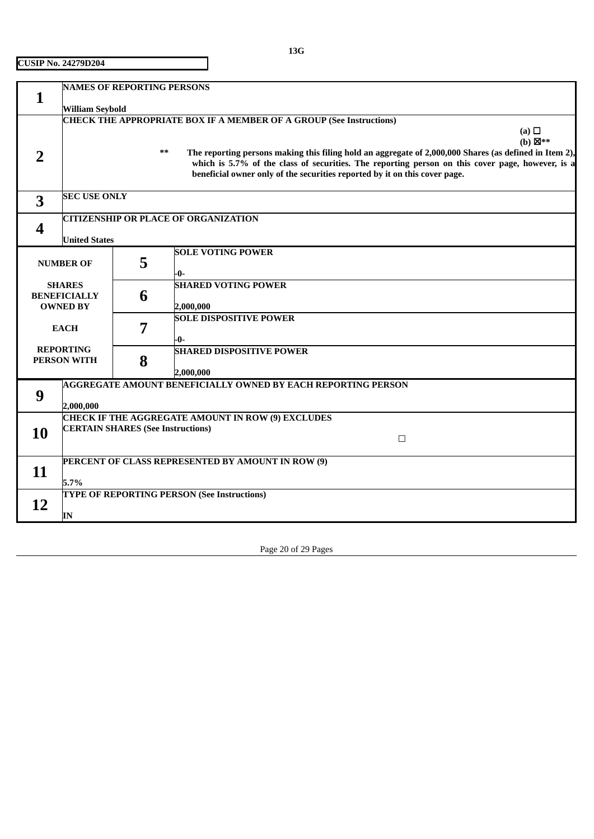|    | <b>NAMES OF REPORTING PERSONS</b>                                                                                                                                                                          |   |                                                                            |  |  |  |  |
|----|------------------------------------------------------------------------------------------------------------------------------------------------------------------------------------------------------------|---|----------------------------------------------------------------------------|--|--|--|--|
| 1  |                                                                                                                                                                                                            |   |                                                                            |  |  |  |  |
|    | <b>William Seybold</b>                                                                                                                                                                                     |   |                                                                            |  |  |  |  |
|    | CHECK THE APPROPRIATE BOX IF A MEMBER OF A GROUP (See Instructions)                                                                                                                                        |   |                                                                            |  |  |  |  |
|    | (a) $\Box$                                                                                                                                                                                                 |   |                                                                            |  |  |  |  |
|    |                                                                                                                                                                                                            |   | (b) $\boxtimes$ **<br>$***$                                                |  |  |  |  |
| 2  | The reporting persons making this filing hold an aggregate of 2,000,000 Shares (as defined in Item 2),<br>which is 5.7% of the class of securities. The reporting person on this cover page, however, is a |   |                                                                            |  |  |  |  |
|    |                                                                                                                                                                                                            |   | beneficial owner only of the securities reported by it on this cover page. |  |  |  |  |
|    |                                                                                                                                                                                                            |   |                                                                            |  |  |  |  |
| 3  | <b>SEC USE ONLY</b>                                                                                                                                                                                        |   |                                                                            |  |  |  |  |
|    |                                                                                                                                                                                                            |   |                                                                            |  |  |  |  |
|    |                                                                                                                                                                                                            |   | <b>CITIZENSHIP OR PLACE OF ORGANIZATION</b>                                |  |  |  |  |
| 4  | <b>United States</b>                                                                                                                                                                                       |   |                                                                            |  |  |  |  |
|    |                                                                                                                                                                                                            |   | <b>SOLE VOTING POWER</b>                                                   |  |  |  |  |
|    | <b>NUMBER OF</b>                                                                                                                                                                                           | 5 |                                                                            |  |  |  |  |
|    |                                                                                                                                                                                                            |   | -0-                                                                        |  |  |  |  |
|    | <b>SHARES</b>                                                                                                                                                                                              |   | <b>SHARED VOTING POWER</b>                                                 |  |  |  |  |
|    | <b>BENEFICIALLY</b>                                                                                                                                                                                        | 6 |                                                                            |  |  |  |  |
|    | <b>OWNED BY</b>                                                                                                                                                                                            |   | 2,000,000                                                                  |  |  |  |  |
|    | <b>EACH</b>                                                                                                                                                                                                | 7 | <b>SOLE DISPOSITIVE POWER</b>                                              |  |  |  |  |
|    |                                                                                                                                                                                                            |   | -0-                                                                        |  |  |  |  |
|    | <b>REPORTING</b>                                                                                                                                                                                           |   | <b>SHARED DISPOSITIVE POWER</b>                                            |  |  |  |  |
|    | PERSON WITH                                                                                                                                                                                                | 8 |                                                                            |  |  |  |  |
|    |                                                                                                                                                                                                            |   | 2,000,000                                                                  |  |  |  |  |
|    |                                                                                                                                                                                                            |   | AGGREGATE AMOUNT BENEFICIALLY OWNED BY EACH REPORTING PERSON               |  |  |  |  |
| 9  |                                                                                                                                                                                                            |   |                                                                            |  |  |  |  |
|    | 2,000,000                                                                                                                                                                                                  |   |                                                                            |  |  |  |  |
|    | <b>CHECK IF THE AGGREGATE AMOUNT IN ROW (9) EXCLUDES</b><br><b>CERTAIN SHARES (See Instructions)</b>                                                                                                       |   |                                                                            |  |  |  |  |
| 10 | $\Box$                                                                                                                                                                                                     |   |                                                                            |  |  |  |  |
|    |                                                                                                                                                                                                            |   |                                                                            |  |  |  |  |
|    |                                                                                                                                                                                                            |   | PERCENT OF CLASS REPRESENTED BY AMOUNT IN ROW (9)                          |  |  |  |  |
| 11 |                                                                                                                                                                                                            |   |                                                                            |  |  |  |  |
|    | 5.7%                                                                                                                                                                                                       |   |                                                                            |  |  |  |  |
| 12 |                                                                                                                                                                                                            |   | <b>TYPE OF REPORTING PERSON (See Instructions)</b>                         |  |  |  |  |
|    | IN                                                                                                                                                                                                         |   |                                                                            |  |  |  |  |

Page 20 of 29 Pages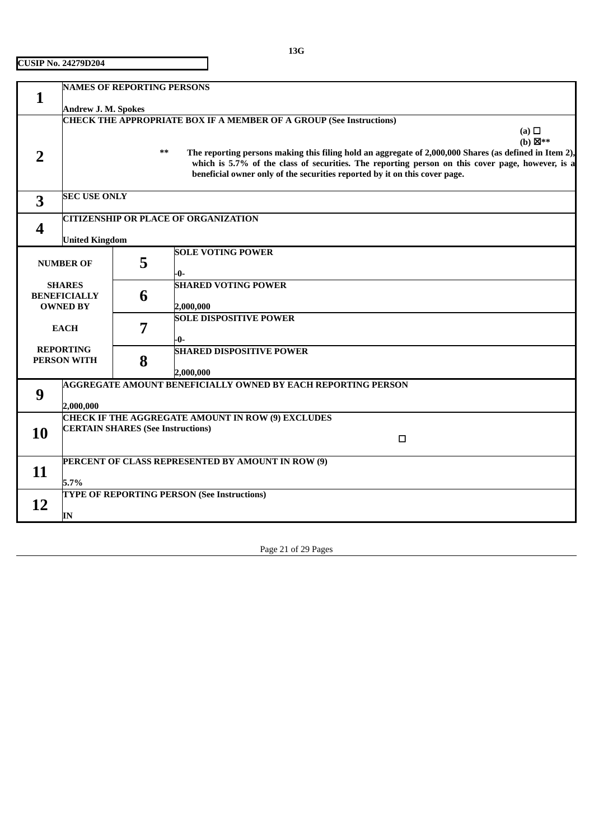| 1                | <b>NAMES OF REPORTING PERSONS</b>                                                                |                                          |                                                                                                        |  |  |  |  |
|------------------|--------------------------------------------------------------------------------------------------|------------------------------------------|--------------------------------------------------------------------------------------------------------|--|--|--|--|
|                  | <b>Andrew J. M. Spokes</b>                                                                       |                                          |                                                                                                        |  |  |  |  |
|                  | <b>CHECK THE APPROPRIATE BOX IF A MEMBER OF A GROUP (See Instructions)</b>                       |                                          |                                                                                                        |  |  |  |  |
|                  | (a) $\Box$                                                                                       |                                          |                                                                                                        |  |  |  |  |
|                  |                                                                                                  |                                          | (b) $\boxtimes$ **                                                                                     |  |  |  |  |
|                  |                                                                                                  | $***$                                    | The reporting persons making this filing hold an aggregate of 2,000,000 Shares (as defined in Item 2), |  |  |  |  |
| 2                | which is 5.7% of the class of securities. The reporting person on this cover page, however, is a |                                          |                                                                                                        |  |  |  |  |
|                  | beneficial owner only of the securities reported by it on this cover page.                       |                                          |                                                                                                        |  |  |  |  |
|                  |                                                                                                  |                                          |                                                                                                        |  |  |  |  |
| 3                | <b>SEC USE ONLY</b>                                                                              |                                          |                                                                                                        |  |  |  |  |
|                  |                                                                                                  |                                          |                                                                                                        |  |  |  |  |
|                  |                                                                                                  |                                          | <b>CITIZENSHIP OR PLACE OF ORGANIZATION</b>                                                            |  |  |  |  |
| $\boldsymbol{4}$ |                                                                                                  |                                          |                                                                                                        |  |  |  |  |
|                  | <b>United Kingdom</b>                                                                            |                                          |                                                                                                        |  |  |  |  |
|                  |                                                                                                  |                                          | <b>SOLE VOTING POWER</b>                                                                               |  |  |  |  |
|                  | <b>NUMBER OF</b>                                                                                 | 5                                        |                                                                                                        |  |  |  |  |
|                  |                                                                                                  |                                          | -0-                                                                                                    |  |  |  |  |
|                  | <b>SHARES</b>                                                                                    |                                          | <b>SHARED VOTING POWER</b>                                                                             |  |  |  |  |
|                  | <b>BENEFICIALLY</b>                                                                              | 6                                        |                                                                                                        |  |  |  |  |
|                  | <b>OWNED BY</b>                                                                                  |                                          | 2,000,000                                                                                              |  |  |  |  |
|                  |                                                                                                  |                                          | <b>SOLE DISPOSITIVE POWER</b>                                                                          |  |  |  |  |
|                  | <b>EACH</b>                                                                                      | 7                                        |                                                                                                        |  |  |  |  |
|                  |                                                                                                  |                                          | -0-                                                                                                    |  |  |  |  |
|                  | <b>REPORTING</b>                                                                                 |                                          | <b>SHARED DISPOSITIVE POWER</b>                                                                        |  |  |  |  |
|                  | <b>PERSON WITH</b>                                                                               | 8                                        |                                                                                                        |  |  |  |  |
|                  |                                                                                                  |                                          | 2,000,000                                                                                              |  |  |  |  |
|                  |                                                                                                  |                                          | AGGREGATE AMOUNT BENEFICIALLY OWNED BY EACH REPORTING PERSON                                           |  |  |  |  |
| 9                |                                                                                                  |                                          |                                                                                                        |  |  |  |  |
|                  | 2,000,000                                                                                        |                                          |                                                                                                        |  |  |  |  |
|                  |                                                                                                  |                                          | <b>CHECK IF THE AGGREGATE AMOUNT IN ROW (9) EXCLUDES</b>                                               |  |  |  |  |
| 10               |                                                                                                  | <b>CERTAIN SHARES (See Instructions)</b> |                                                                                                        |  |  |  |  |
|                  |                                                                                                  |                                          | $\Box$                                                                                                 |  |  |  |  |
|                  |                                                                                                  |                                          | PERCENT OF CLASS REPRESENTED BY AMOUNT IN ROW (9)                                                      |  |  |  |  |
| 11               |                                                                                                  |                                          |                                                                                                        |  |  |  |  |
|                  | 5.7%                                                                                             |                                          |                                                                                                        |  |  |  |  |
|                  |                                                                                                  |                                          | <b>TYPE OF REPORTING PERSON (See Instructions)</b>                                                     |  |  |  |  |
| 12               |                                                                                                  |                                          |                                                                                                        |  |  |  |  |
|                  | IN                                                                                               |                                          |                                                                                                        |  |  |  |  |
|                  |                                                                                                  |                                          |                                                                                                        |  |  |  |  |

Page 21 of 29 Pages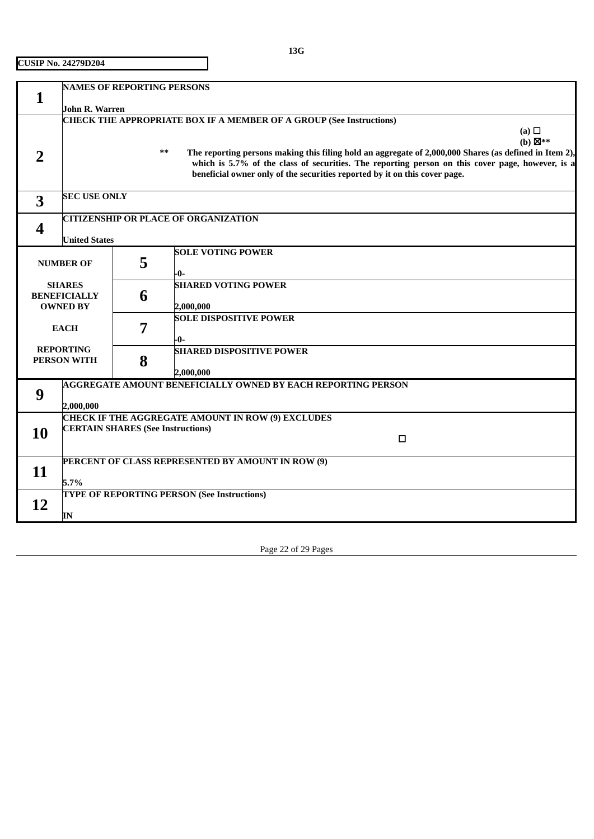|    | <b>NAMES OF REPORTING PERSONS</b>                                                                |                                          |                                                                                                        |                    |  |  |  |
|----|--------------------------------------------------------------------------------------------------|------------------------------------------|--------------------------------------------------------------------------------------------------------|--------------------|--|--|--|
| 1  |                                                                                                  |                                          |                                                                                                        |                    |  |  |  |
|    | John R. Warren                                                                                   |                                          |                                                                                                        |                    |  |  |  |
|    | CHECK THE APPROPRIATE BOX IF A MEMBER OF A GROUP (See Instructions)                              |                                          |                                                                                                        |                    |  |  |  |
|    | (a) $\Box$                                                                                       |                                          |                                                                                                        |                    |  |  |  |
|    |                                                                                                  | $***$                                    | The reporting persons making this filing hold an aggregate of 2,000,000 Shares (as defined in Item 2), | (b) $\boxtimes$ ** |  |  |  |
| 2  | which is 5.7% of the class of securities. The reporting person on this cover page, however, is a |                                          |                                                                                                        |                    |  |  |  |
|    |                                                                                                  |                                          | beneficial owner only of the securities reported by it on this cover page.                             |                    |  |  |  |
|    |                                                                                                  |                                          |                                                                                                        |                    |  |  |  |
| 3  | <b>SEC USE ONLY</b>                                                                              |                                          |                                                                                                        |                    |  |  |  |
|    |                                                                                                  |                                          |                                                                                                        |                    |  |  |  |
| 4  |                                                                                                  |                                          | <b>CITIZENSHIP OR PLACE OF ORGANIZATION</b>                                                            |                    |  |  |  |
|    | <b>United States</b>                                                                             |                                          |                                                                                                        |                    |  |  |  |
|    |                                                                                                  |                                          | <b>SOLE VOTING POWER</b>                                                                               |                    |  |  |  |
|    | <b>NUMBER OF</b>                                                                                 | 5                                        |                                                                                                        |                    |  |  |  |
|    |                                                                                                  |                                          | -0-                                                                                                    |                    |  |  |  |
|    | <b>SHARES</b>                                                                                    |                                          | <b>SHARED VOTING POWER</b>                                                                             |                    |  |  |  |
|    | <b>BENEFICIALLY</b>                                                                              | 6                                        |                                                                                                        |                    |  |  |  |
|    | <b>OWNED BY</b>                                                                                  |                                          | 2,000,000<br><b>SOLE DISPOSITIVE POWER</b>                                                             |                    |  |  |  |
|    | <b>EACH</b>                                                                                      | 7                                        |                                                                                                        |                    |  |  |  |
|    |                                                                                                  |                                          | -0-                                                                                                    |                    |  |  |  |
|    | <b>REPORTING</b>                                                                                 |                                          | <b>SHARED DISPOSITIVE POWER</b>                                                                        |                    |  |  |  |
|    | PERSON WITH                                                                                      | 8                                        |                                                                                                        |                    |  |  |  |
|    |                                                                                                  |                                          | 2,000,000                                                                                              |                    |  |  |  |
|    |                                                                                                  |                                          | <b>AGGREGATE AMOUNT BENEFICIALLY OWNED BY EACH REPORTING PERSON</b>                                    |                    |  |  |  |
| 9  | 2,000,000                                                                                        |                                          |                                                                                                        |                    |  |  |  |
|    |                                                                                                  |                                          | <b>CHECK IF THE AGGREGATE AMOUNT IN ROW (9) EXCLUDES</b>                                               |                    |  |  |  |
|    |                                                                                                  | <b>CERTAIN SHARES (See Instructions)</b> |                                                                                                        |                    |  |  |  |
| 10 |                                                                                                  |                                          | $\Box$                                                                                                 |                    |  |  |  |
|    |                                                                                                  |                                          |                                                                                                        |                    |  |  |  |
|    |                                                                                                  |                                          | PERCENT OF CLASS REPRESENTED BY AMOUNT IN ROW (9)                                                      |                    |  |  |  |
| 11 |                                                                                                  |                                          |                                                                                                        |                    |  |  |  |
|    | 5.7%                                                                                             |                                          | <b>TYPE OF REPORTING PERSON (See Instructions)</b>                                                     |                    |  |  |  |
| 12 |                                                                                                  |                                          |                                                                                                        |                    |  |  |  |
|    | IN                                                                                               |                                          |                                                                                                        |                    |  |  |  |

Page 22 of 29 Pages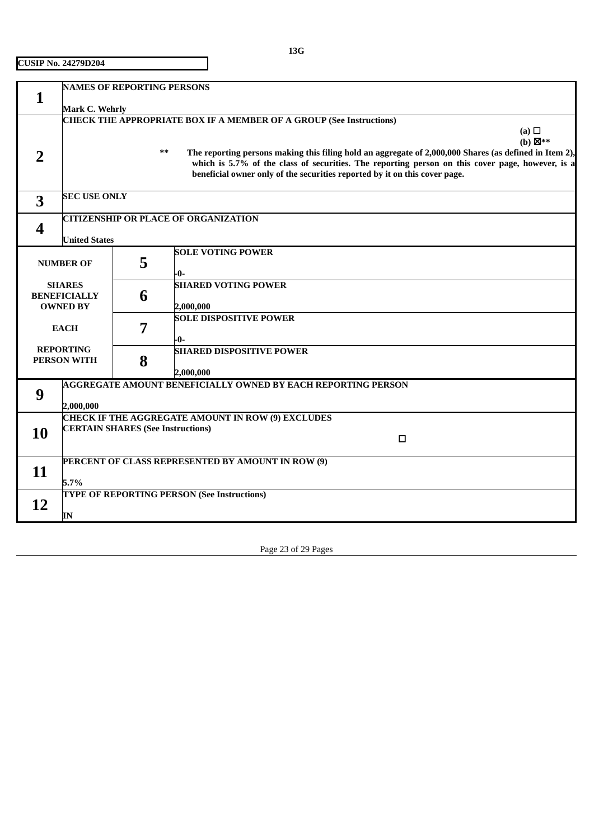|    | <b>NAMES OF REPORTING PERSONS</b>                                          |                                                                                                  |                                                                                                                 |                                  |  |  |  |  |
|----|----------------------------------------------------------------------------|--------------------------------------------------------------------------------------------------|-----------------------------------------------------------------------------------------------------------------|----------------------------------|--|--|--|--|
| 1  |                                                                            |                                                                                                  |                                                                                                                 |                                  |  |  |  |  |
|    | Mark C. Wehrly                                                             |                                                                                                  |                                                                                                                 |                                  |  |  |  |  |
|    | <b>CHECK THE APPROPRIATE BOX IF A MEMBER OF A GROUP (See Instructions)</b> |                                                                                                  |                                                                                                                 |                                  |  |  |  |  |
|    |                                                                            |                                                                                                  |                                                                                                                 | (a) $\Box$<br>(b) $\boxtimes$ ** |  |  |  |  |
|    |                                                                            |                                                                                                  | $***$<br>The reporting persons making this filing hold an aggregate of 2,000,000 Shares (as defined in Item 2), |                                  |  |  |  |  |
| 2  |                                                                            | which is 5.7% of the class of securities. The reporting person on this cover page, however, is a |                                                                                                                 |                                  |  |  |  |  |
|    |                                                                            |                                                                                                  | beneficial owner only of the securities reported by it on this cover page.                                      |                                  |  |  |  |  |
|    |                                                                            |                                                                                                  |                                                                                                                 |                                  |  |  |  |  |
| 3  | <b>SEC USE ONLY</b>                                                        |                                                                                                  |                                                                                                                 |                                  |  |  |  |  |
|    |                                                                            |                                                                                                  | <b>CITIZENSHIP OR PLACE OF ORGANIZATION</b>                                                                     |                                  |  |  |  |  |
| 4  |                                                                            |                                                                                                  |                                                                                                                 |                                  |  |  |  |  |
|    | <b>United States</b>                                                       |                                                                                                  |                                                                                                                 |                                  |  |  |  |  |
|    |                                                                            |                                                                                                  | <b>SOLE VOTING POWER</b>                                                                                        |                                  |  |  |  |  |
|    | <b>NUMBER OF</b>                                                           | 5                                                                                                |                                                                                                                 |                                  |  |  |  |  |
|    |                                                                            |                                                                                                  | -0-                                                                                                             |                                  |  |  |  |  |
|    | <b>SHARES</b>                                                              |                                                                                                  | <b>SHARED VOTING POWER</b>                                                                                      |                                  |  |  |  |  |
|    | <b>BENEFICIALLY</b><br><b>OWNED BY</b>                                     | 6                                                                                                | 2,000,000                                                                                                       |                                  |  |  |  |  |
|    |                                                                            |                                                                                                  | <b>SOLE DISPOSITIVE POWER</b>                                                                                   |                                  |  |  |  |  |
|    | <b>EACH</b>                                                                | 7                                                                                                |                                                                                                                 |                                  |  |  |  |  |
|    |                                                                            |                                                                                                  | -0-                                                                                                             |                                  |  |  |  |  |
|    | <b>REPORTING</b>                                                           |                                                                                                  | <b>SHARED DISPOSITIVE POWER</b>                                                                                 |                                  |  |  |  |  |
|    | PERSON WITH                                                                | 8                                                                                                |                                                                                                                 |                                  |  |  |  |  |
|    |                                                                            |                                                                                                  | 2,000,000                                                                                                       |                                  |  |  |  |  |
| 9  |                                                                            |                                                                                                  | <b>AGGREGATE AMOUNT BENEFICIALLY OWNED BY EACH REPORTING PERSON</b>                                             |                                  |  |  |  |  |
|    | 2,000,000                                                                  |                                                                                                  |                                                                                                                 |                                  |  |  |  |  |
|    |                                                                            |                                                                                                  | <b>CHECK IF THE AGGREGATE AMOUNT IN ROW (9) EXCLUDES</b>                                                        |                                  |  |  |  |  |
| 10 | <b>CERTAIN SHARES (See Instructions)</b>                                   |                                                                                                  |                                                                                                                 |                                  |  |  |  |  |
|    |                                                                            |                                                                                                  | $\Box$                                                                                                          |                                  |  |  |  |  |
|    |                                                                            |                                                                                                  |                                                                                                                 |                                  |  |  |  |  |
| 11 |                                                                            |                                                                                                  | PERCENT OF CLASS REPRESENTED BY AMOUNT IN ROW (9)                                                               |                                  |  |  |  |  |
|    | 5.7%                                                                       |                                                                                                  |                                                                                                                 |                                  |  |  |  |  |
|    |                                                                            |                                                                                                  | <b>TYPE OF REPORTING PERSON (See Instructions)</b>                                                              |                                  |  |  |  |  |
| 12 |                                                                            |                                                                                                  |                                                                                                                 |                                  |  |  |  |  |
|    | IN                                                                         |                                                                                                  |                                                                                                                 |                                  |  |  |  |  |

Page 23 of 29 Pages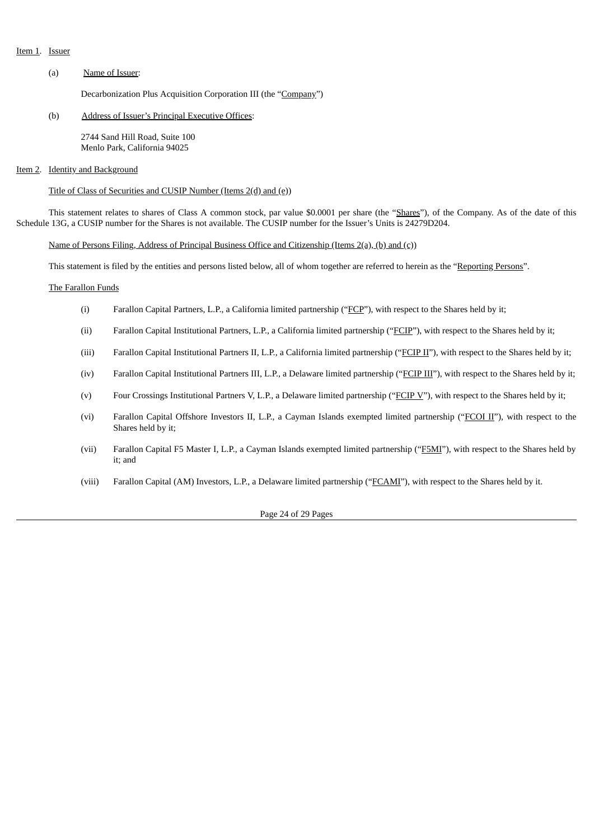#### Item 1. Issuer

## (a) Name of Issuer:

Decarbonization Plus Acquisition Corporation III (the "Company")

## (b) Address of Issuer's Principal Executive Offices:

2744 Sand Hill Road, Suite 100 Menlo Park, California 94025

# Item 2. Identity and Background

# Title of Class of Securities and CUSIP Number (Items 2(d) and (e))

This statement relates to shares of Class A common stock, par value \$0.0001 per share (the "Shares"), of the Company. As of the date of this Schedule 13G, a CUSIP number for the Shares is not available. The CUSIP number for the Issuer's Units is 24279D204.

#### Name of Persons Filing, Address of Principal Business Office and Citizenship (Items 2(a), (b) and (c))

This statement is filed by the entities and persons listed below, all of whom together are referred to herein as the "Reporting Persons".

#### The Farallon Funds

- (i) Farallon Capital Partners, L.P., a California limited partnership ("FCP"), with respect to the Shares held by it;
- (ii) Farallon Capital Institutional Partners, L.P., a California limited partnership ("FCIP"), with respect to the Shares held by it;
- (iii) Farallon Capital Institutional Partners II, L.P., a California limited partnership ("FCIP II"), with respect to the Shares held by it;
- (iv) Farallon Capital Institutional Partners III, L.P., a Delaware limited partnership ("FCIP III"), with respect to the Shares held by it;
- (v) Four Crossings Institutional Partners V, L.P., a Delaware limited partnership (" $FCIP Y$ "), with respect to the Shares held by it;
- (vi) Farallon Capital Offshore Investors II, L.P., a Cayman Islands exempted limited partnership ("FCOI II"), with respect to the Shares held by it;
- (vii) Farallon Capital F5 Master I, L.P., a Cayman Islands exempted limited partnership ("F5MI"), with respect to the Shares held by it; and
- (viii) Farallon Capital (AM) Investors, L.P., a Delaware limited partnership ("FCAMI"), with respect to the Shares held by it.

Page 24 of 29 Pages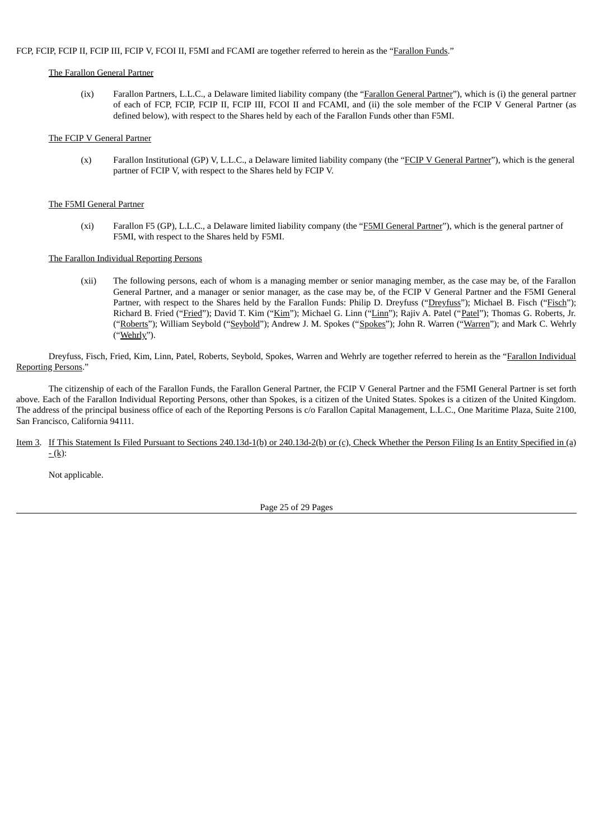#### FCP, FCIP, FCIP II, FCIP III, FCIP V, FCOI II, F5MI and FCAMI are together referred to herein as the "Farallon Funds."

#### The Farallon General Partner

(ix) Farallon Partners, L.L.C., a Delaware limited liability company (the "Farallon General Partner"), which is (i) the general partner of each of FCP, FCIP, FCIP II, FCIP III, FCOI II and FCAMI, and (ii) the sole member of the FCIP V General Partner (as defined below), with respect to the Shares held by each of the Farallon Funds other than F5MI.

#### The FCIP V General Partner

(x) Farallon Institutional (GP) V, L.L.C., a Delaware limited liability company (the "FCIP V General Partner"), which is the general partner of FCIP V, with respect to the Shares held by FCIP V.

#### The F5MI General Partner

(xi) Farallon F5 (GP), L.L.C., a Delaware limited liability company (the "F5MI General Partner"), which is the general partner of F5MI, with respect to the Shares held by F5MI.

#### The Farallon Individual Reporting Persons

(xii) The following persons, each of whom is a managing member or senior managing member, as the case may be, of the Farallon General Partner, and a manager or senior manager, as the case may be, of the FCIP V General Partner and the F5MI General Partner, with respect to the Shares held by the Farallon Funds: Philip D. Dreyfuss ("Dreyfuss"); Michael B. Fisch ("Fisch"); Richard B. Fried ("Fried"); David T. Kim ("Kim"); Michael G. Linn ("Linn"); Rajiv A. Patel ("Patel"); Thomas G. Roberts, Jr. ("Roberts"); William Seybold ("Seybold"); Andrew J. M. Spokes ("Spokes"); John R. Warren ("Warren"); and Mark C. Wehrly ("Wehrly").

Dreyfuss, Fisch, Fried, Kim, Linn, Patel, Roberts, Seybold, Spokes, Warren and Wehrly are together referred to herein as the "Farallon Individual Reporting Persons."

The citizenship of each of the Farallon Funds, the Farallon General Partner, the FCIP V General Partner and the F5MI General Partner is set forth above. Each of the Farallon Individual Reporting Persons, other than Spokes, is a citizen of the United States. Spokes is a citizen of the United Kingdom. The address of the principal business office of each of the Reporting Persons is c/o Farallon Capital Management, L.L.C., One Maritime Plaza, Suite 2100, San Francisco, California 94111.

Item 3. If This Statement Is Filed Pursuant to Sections 240.13d-1(b) or 240.13d-2(b) or (c), Check Whether the Person Filing Is an Entity Specified in (a) - (k):

Not applicable.

Page 25 of 29 Pages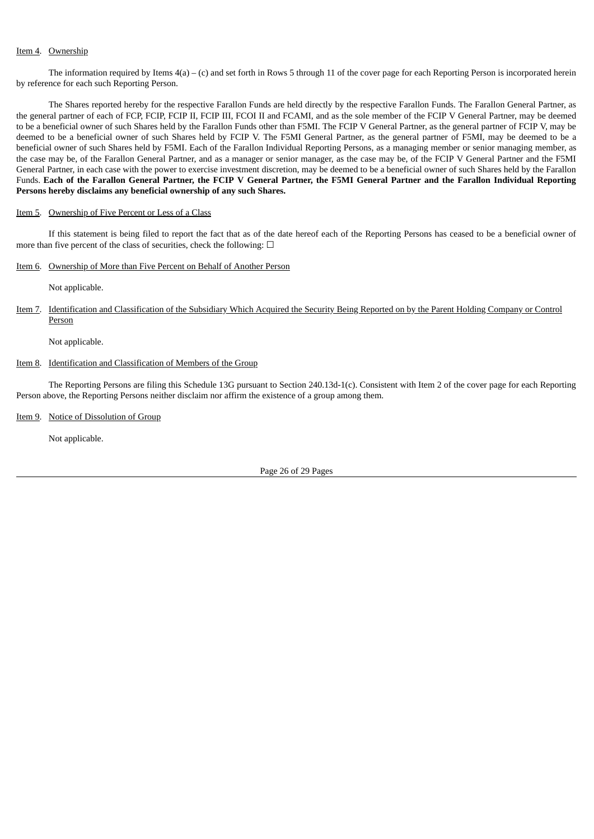## Item 4. Ownership

The information required by Items  $4(a) - (c)$  and set forth in Rows 5 through 11 of the cover page for each Reporting Person is incorporated herein by reference for each such Reporting Person.

The Shares reported hereby for the respective Farallon Funds are held directly by the respective Farallon Funds. The Farallon General Partner, as the general partner of each of FCP, FCIP, FCIP II, FCIP III, FCOI II and FCAMI, and as the sole member of the FCIP V General Partner, may be deemed to be a beneficial owner of such Shares held by the Farallon Funds other than F5MI. The FCIP V General Partner, as the general partner of FCIP V, may be deemed to be a beneficial owner of such Shares held by FCIP V. The F5MI General Partner, as the general partner of F5MI, may be deemed to be a beneficial owner of such Shares held by F5MI. Each of the Farallon Individual Reporting Persons, as a managing member or senior managing member, as the case may be, of the Farallon General Partner, and as a manager or senior manager, as the case may be, of the FCIP V General Partner and the F5MI General Partner, in each case with the power to exercise investment discretion, may be deemed to be a beneficial owner of such Shares held by the Farallon Funds. Each of the Farallon General Partner, the FCIP V General Partner, the F5MI General Partner and the Farallon Individual Reporting **Persons hereby disclaims any beneficial ownership of any such Shares.**

## Item 5. Ownership of Five Percent or Less of a Class

If this statement is being filed to report the fact that as of the date hereof each of the Reporting Persons has ceased to be a beneficial owner of more than five percent of the class of securities, check the following:  $\Box$ 

Item 6. Ownership of More than Five Percent on Behalf of Another Person

Not applicable.

Item 7. Identification and Classification of the Subsidiary Which Acquired the Security Being Reported on by the Parent Holding Company or Control Person

Not applicable.

#### Item 8. Identification and Classification of Members of the Group

The Reporting Persons are filing this Schedule 13G pursuant to Section 240.13d-1(c). Consistent with Item 2 of the cover page for each Reporting Person above, the Reporting Persons neither disclaim nor affirm the existence of a group among them.

Item 9. Notice of Dissolution of Group

Not applicable.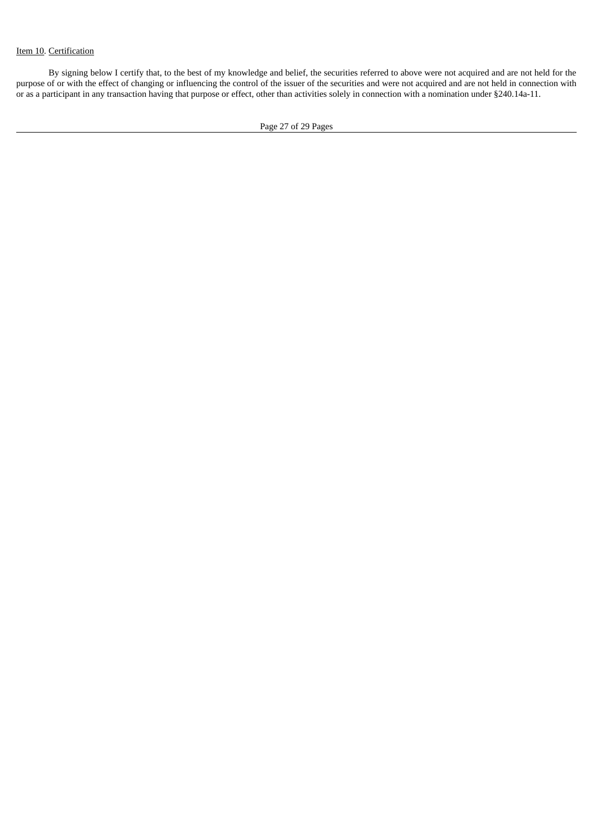# Item 10. Certification

By signing below I certify that, to the best of my knowledge and belief, the securities referred to above were not acquired and are not held for the purpose of or with the effect of changing or influencing the control of the issuer of the securities and were not acquired and are not held in connection with or as a participant in any transaction having that purpose or effect, other than activities solely in connection with a nomination under §240.14a-11.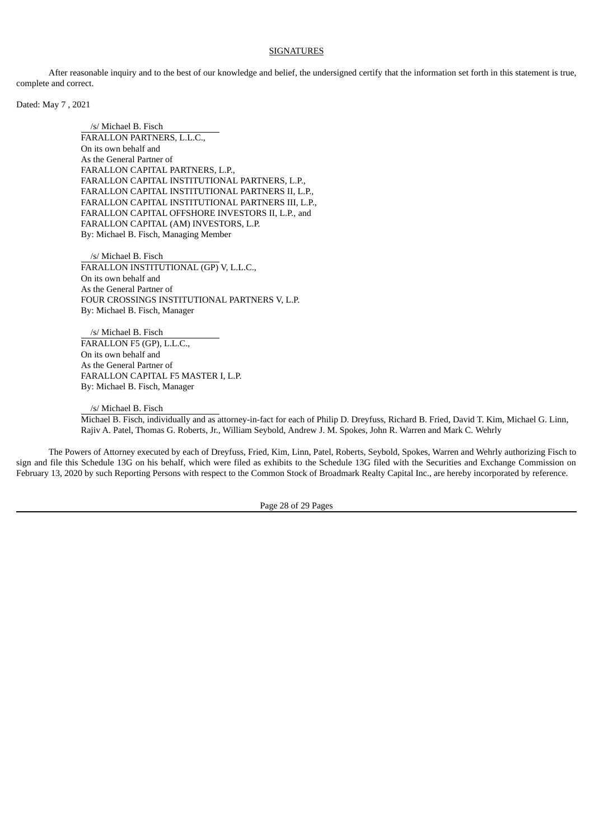# **SIGNATURES**

After reasonable inquiry and to the best of our knowledge and belief, the undersigned certify that the information set forth in this statement is true, complete and correct.

Dated: May 7 , 2021

/s/ Michael B. Fisch FARALLON PARTNERS, L.L.C., On its own behalf and As the General Partner of FARALLON CAPITAL PARTNERS, L.P., FARALLON CAPITAL INSTITUTIONAL PARTNERS, L.P., FARALLON CAPITAL INSTITUTIONAL PARTNERS II, L.P., FARALLON CAPITAL INSTITUTIONAL PARTNERS III, L.P., FARALLON CAPITAL OFFSHORE INVESTORS II, L.P., and FARALLON CAPITAL (AM) INVESTORS, L.P. By: Michael B. Fisch, Managing Member

/s/ Michael B. Fisch FARALLON INSTITUTIONAL (GP) V, L.L.C., On its own behalf and As the General Partner of FOUR CROSSINGS INSTITUTIONAL PARTNERS V, L.P. By: Michael B. Fisch, Manager

/s/ Michael B. Fisch FARALLON F5 (GP), L.L.C., On its own behalf and As the General Partner of FARALLON CAPITAL F5 MASTER I, L.P. By: Michael B. Fisch, Manager

#### /s/ Michael B. Fisch

Michael B. Fisch, individually and as attorney-in-fact for each of Philip D. Dreyfuss, Richard B. Fried, David T. Kim, Michael G. Linn, Rajiv A. Patel, Thomas G. Roberts, Jr., William Seybold, Andrew J. M. Spokes, John R. Warren and Mark C. Wehrly

The Powers of Attorney executed by each of Dreyfuss, Fried, Kim, Linn, Patel, Roberts, Seybold, Spokes, Warren and Wehrly authorizing Fisch to sign and file this Schedule 13G on his behalf, which were filed as exhibits to the Schedule 13G filed with the Securities and Exchange Commission on February 13, 2020 by such Reporting Persons with respect to the Common Stock of Broadmark Realty Capital Inc., are hereby incorporated by reference.

Page 28 of 29 Pages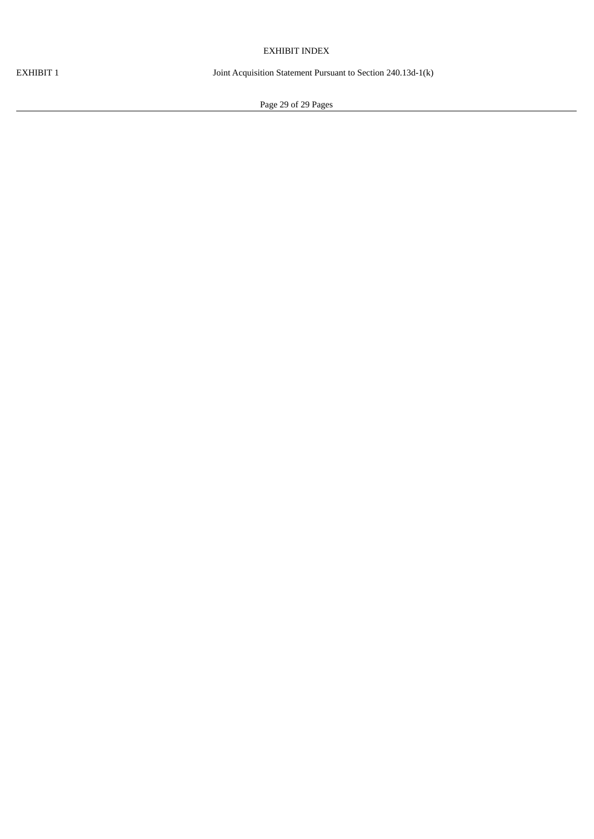# EXHIBIT INDEX

EXHIBIT 1 Joint Acquisition Statement Pursuant to Section 240.13d-1(k)

Page 29 of 29 Pages